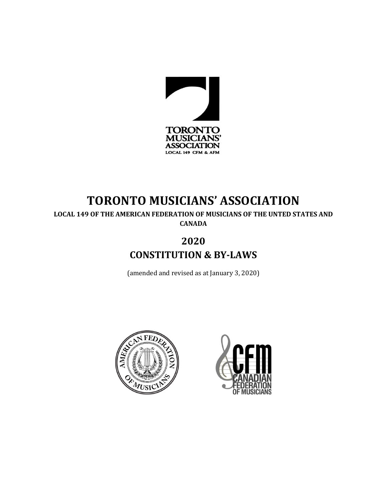

# **TORONTO MUSICIANS' ASSOCIATION**

**LOCAL 149 OF THE AMERICAN FEDERATION OF MUSICIANS OF THE UNTED STATES AND CANADA**

# **2020**

**CONSTITUTION & BY-LAWS**

(amended and revised as at January 3, 2020)



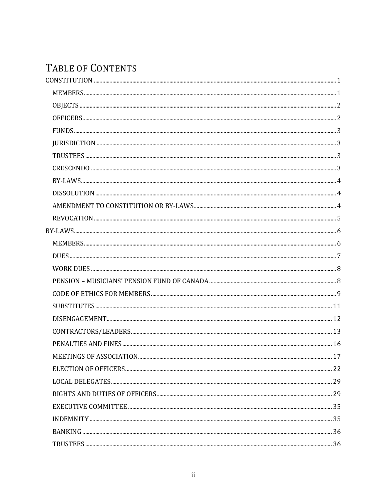# TABLE OF CONTENTS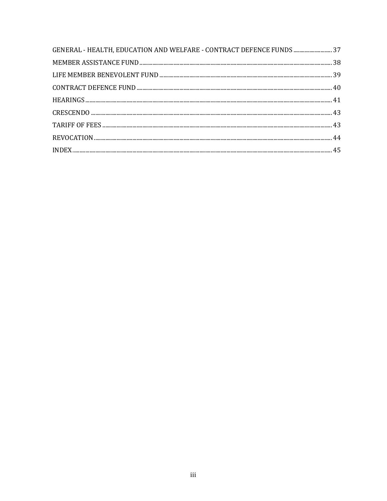| GENERAL - HEALTH, EDUCATION AND WELFARE - CONTRACT DEFENCE FUNDS  37 |  |
|----------------------------------------------------------------------|--|
|                                                                      |  |
|                                                                      |  |
|                                                                      |  |
|                                                                      |  |
|                                                                      |  |
|                                                                      |  |
|                                                                      |  |
|                                                                      |  |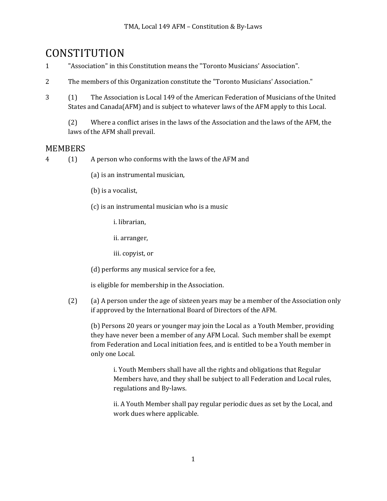# **CONSTITUTION**

- 1 "Association" in this Constitution means the "Toronto Musicians' Association".
- 2 The members of this Organization constitute the "Toronto Musicians' Association."
- 3 (1) The Association is Local 149 of the American Federation of Musicians of the United States and  $Canada(AFM)$  and is subject to whatever laws of the  $AFM$  apply to this Local.

(2) Where a conflict arises in the laws of the Association and the laws of the AFM, the laws of the AFM shall prevail.

## **MEMBERS**

- 4 (1) A person who conforms with the laws of the AFM and
	- (a) is an instrumental musician,
	- (b) is a vocalist,
	- $(c)$  is an instrumental musician who is a music

i. librarian.

ii. arranger,

iii. copyist, or

(d) performs any musical service for a fee,

is eligible for membership in the Association.

(2) (a) A person under the age of sixteen years may be a member of the Association only if approved by the International Board of Directors of the AFM.

(b) Persons 20 years or younger may join the Local as a Youth Member, providing they have never been a member of any AFM Local. Such member shall be exempt from Federation and Local initiation fees, and is entitled to be a Youth member in only one Local.

i. Youth Members shall have all the rights and obligations that Regular Members have, and they shall be subject to all Federation and Local rules, regulations and By-laws.

ii. A Youth Member shall pay regular periodic dues as set by the Local, and work dues where applicable.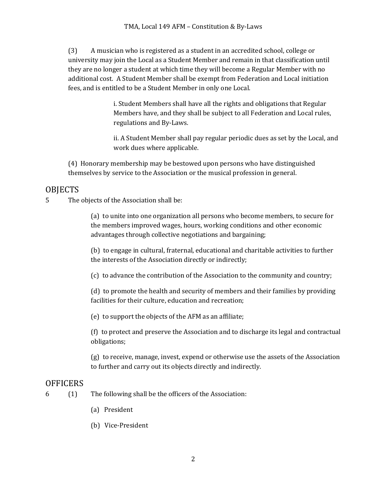(3) A musician who is registered as a student in an accredited school, college or university may join the Local as a Student Member and remain in that classification until they are no longer a student at which time they will become a Regular Member with no additional cost. A Student Member shall be exempt from Federation and Local initiation fees, and is entitled to be a Student Member in only one Local.

> i. Student Members shall have all the rights and obligations that Regular Members have, and they shall be subject to all Federation and Local rules, regulations and By-Laws.

ii. A Student Member shall pay regular periodic dues as set by the Local, and work dues where applicable.

(4) Honorary membership may be bestowed upon persons who have distinguished themselves by service to the Association or the musical profession in general.

# **OBJECTS**

5 The objects of the Association shall be:

(a) to unite into one organization all persons who become members, to secure for the members improved wages, hours, working conditions and other economic advantages through collective negotiations and bargaining;

(b) to engage in cultural, fraternal, educational and charitable activities to further the interests of the Association directly or indirectly;

 $(c)$  to advance the contribution of the Association to the community and country;

(d) to promote the health and security of members and their families by providing facilities for their culture, education and recreation;

(e) to support the objects of the AFM as an affiliate;

(f) to protect and preserve the Association and to discharge its legal and contractual obligations;

 $(g)$  to receive, manage, invest, expend or otherwise use the assets of the Association to further and carry out its objects directly and indirectly.

# **OFFICERS**

- $6$  (1) The following shall be the officers of the Association:
	- (a) President
	- (b) Vice-President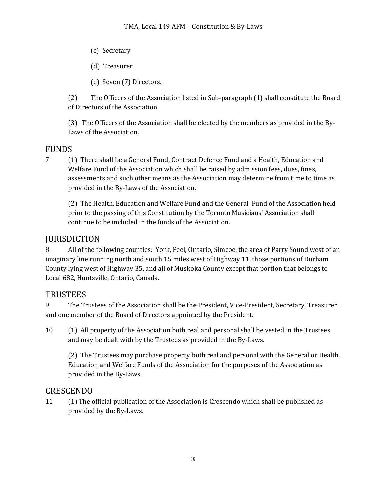- (c) Secretary
- (d) Treasurer
- (e) Seven (7) Directors.

(2) The Officers of the Association listed in Sub-paragraph (1) shall constitute the Board of Directors of the Association.

(3) The Officers of the Association shall be elected by the members as provided in the By-Laws of the Association.

# FUNDS

7 (1) There shall be a General Fund, Contract Defence Fund and a Health, Education and Welfare Fund of the Association which shall be raised by admission fees, dues, fines, assessments and such other means as the Association may determine from time to time as provided in the By-Laws of the Association.

(2) The Health, Education and Welfare Fund and the General Fund of the Association held prior to the passing of this Constitution by the Toronto Musicians' Association shall continue to be included in the funds of the Association.

# **JURISDICTION**

8 All of the following counties: York, Peel, Ontario, Simcoe, the area of Parry Sound west of an imaginary line running north and south 15 miles west of Highway 11, those portions of Durham County lying west of Highway 35, and all of Muskoka County except that portion that belongs to Local 682, Huntsville, Ontario, Canada.

# TRUSTEES

9 The Trustees of the Association shall be the President, Vice-President, Secretary, Treasurer and one member of the Board of Directors appointed by the President.

10 (1) All property of the Association both real and personal shall be vested in the Trustees and may be dealt with by the Trustees as provided in the By-Laws.

(2) The Trustees may purchase property both real and personal with the General or Health, Education and Welfare Funds of the Association for the purposes of the Association as provided in the By-Laws.

## CRESCENDO

11 (1) The official publication of the Association is Crescendo which shall be published as provided by the By-Laws.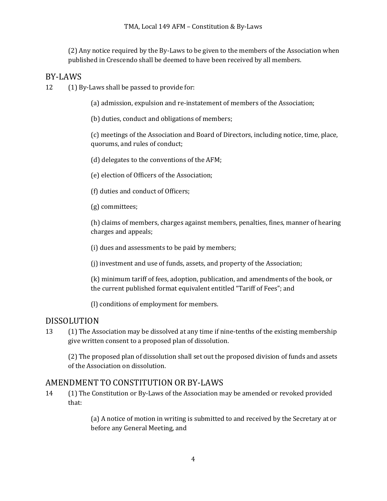(2) Any notice required by the By-Laws to be given to the members of the Association when published in Crescendo shall be deemed to have been received by all members.

## BY-LAWS

 $12$  (1) By-Laws shall be passed to provide for:

(a) admission, expulsion and re-instatement of members of the Association;

(b) duties, conduct and obligations of members;

(c) meetings of the Association and Board of Directors, including notice, time, place, quorums, and rules of conduct;

(d) delegates to the conventions of the AFM;

(e) election of Officers of the Association;

(f) duties and conduct of Officers;

(g) committees;

(h) claims of members, charges against members, penalties, fines, manner of hearing charges and appeals;

(i) dues and assessments to be paid by members;

(j) investment and use of funds, assets, and property of the Association;

(k) minimum tariff of fees, adoption, publication, and amendments of the book, or the current published format equivalent entitled "Tariff of Fees"; and

(I) conditions of employment for members.

## DISSOLUTION

13 (1) The Association may be dissolved at any time if nine-tenths of the existing membership give written consent to a proposed plan of dissolution.

(2) The proposed plan of dissolution shall set out the proposed division of funds and assets of the Association on dissolution.

## AMENDMENT TO CONSTITUTION OR BY-LAWS

14 (1) The Constitution or By-Laws of the Association may be amended or revoked provided that:

> (a) A notice of motion in writing is submitted to and received by the Secretary at or before any General Meeting, and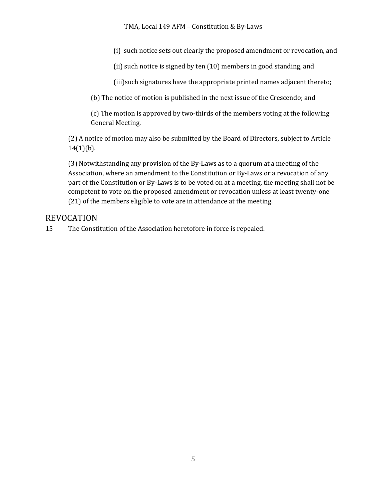TMA, Local 149 AFM - Constitution & By-Laws

(i) such notice sets out clearly the proposed amendment or revocation, and

(ii) such notice is signed by ten  $(10)$  members in good standing, and

(iii) such signatures have the appropriate printed names adjacent thereto;

(b) The notice of motion is published in the next issue of the Crescendo; and

(c) The motion is approved by two-thirds of the members voting at the following General Meeting.

(2) A notice of motion may also be submitted by the Board of Directors, subject to Article  $14(1)(b)$ .

(3) Notwithstanding any provision of the By-Laws as to a quorum at a meeting of the Association, where an amendment to the Constitution or By-Laws or a revocation of any part of the Constitution or By-Laws is to be voted on at a meeting, the meeting shall not be competent to vote on the proposed amendment or revocation unless at least twenty-one (21) of the members eligible to vote are in attendance at the meeting.

## REVOCATION

15 The Constitution of the Association heretofore in force is repealed.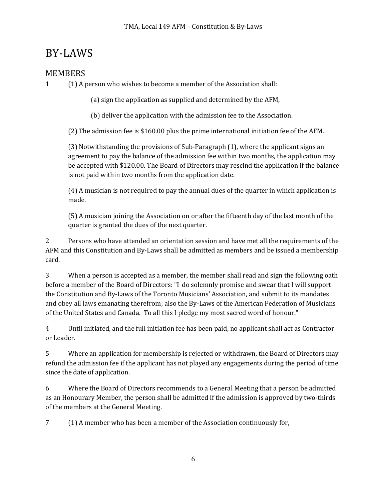# BY-LAWS

# **MEMBERS**

1 (1) A person who wishes to become a member of the Association shall:

(a) sign the application as supplied and determined by the AFM,

(b) deliver the application with the admission fee to the Association.

(2) The admission fee is \$160.00 plus the prime international initiation fee of the AFM.

 $(3)$  Notwithstanding the provisions of Sub-Paragraph  $(1)$ , where the applicant signs an agreement to pay the balance of the admission fee within two months, the application may be accepted with \$120.00. The Board of Directors may rescind the application if the balance is not paid within two months from the application date.

(4) A musician is not required to pay the annual dues of the quarter in which application is made.

(5) A musician joining the Association on or after the fifteenth day of the last month of the quarter is granted the dues of the next quarter.

2 Persons who have attended an orientation session and have met all the requirements of the AFM and this Constitution and By-Laws shall be admitted as members and be issued a membership card.

3 When a person is accepted as a member, the member shall read and sign the following oath before a member of the Board of Directors: "I do solemnly promise and swear that I will support the Constitution and By-Laws of the Toronto Musicians' Association, and submit to its mandates and obey all laws emanating therefrom; also the By-Laws of the American Federation of Musicians of the United States and Canada. To all this I pledge my most sacred word of honour."

4 Until initiated, and the full initiation fee has been paid, no applicant shall act as Contractor or Leader.

5 Where an application for membership is rejected or withdrawn, the Board of Directors may refund the admission fee if the applicant has not played any engagements during the period of time since the date of application.

6 Where the Board of Directors recommends to a General Meeting that a person be admitted as an Honourary Member, the person shall be admitted if the admission is approved by two-thirds of the members at the General Meeting.

7 (1) A member who has been a member of the Association continuously for,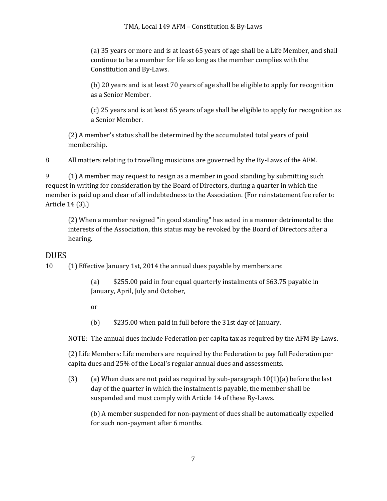(a) 35 years or more and is at least 65 years of age shall be a Life Member, and shall continue to be a member for life so long as the member complies with the Constitution and By-Laws.

(b) 20 years and is at least 70 years of age shall be eligible to apply for recognition as a Senior Member.

(c) 25 years and is at least 65 years of age shall be eligible to apply for recognition as a Senior Member.

(2) A member's status shall be determined by the accumulated total years of paid membership.

8 All matters relating to travelling musicians are governed by the By-Laws of the AFM.

9 (1) A member may request to resign as a member in good standing by submitting such request in writing for consideration by the Board of Directors, during a quarter in which the member is paid up and clear of all indebtedness to the Association. (For reinstatement fee refer to Article 14 (3).)

(2) When a member resigned "in good standing" has acted in a manner detrimental to the interests of the Association, this status may be revoked by the Board of Directors after a hearing.

## DUES

10 (1) Effective January 1st, 2014 the annual dues payable by members are:

(a) \$255.00 paid in four equal quarterly instalments of \$63.75 payable in January, April, July and October,

or

(b) \$235.00 when paid in full before the 31st day of January.

NOTE: The annual dues include Federation per capita tax as required by the AFM By-Laws.

(2) Life Members: Life members are required by the Federation to pay full Federation per capita dues and 25% of the Local's regular annual dues and assessments.

(3) (a) When dues are not paid as required by sub-paragraph  $10(1)(a)$  before the last day of the quarter in which the instalment is payable, the member shall be suspended and must comply with Article 14 of these By-Laws.

(b) A member suspended for non-payment of dues shall be automatically expelled for such non-payment after 6 months.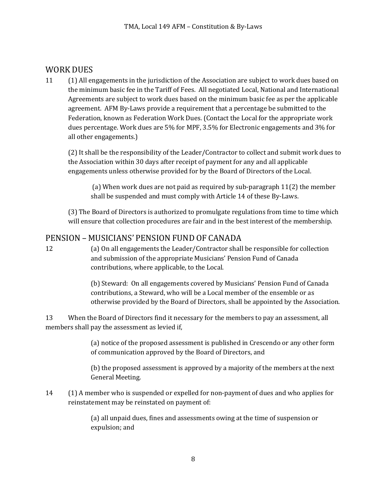## WORK DUES

11 (1) All engagements in the jurisdiction of the Association are subject to work dues based on the minimum basic fee in the Tariff of Fees. All negotiated Local, National and International Agreements are subject to work dues based on the minimum basic fee as per the applicable agreement. AFM By-Laws provide a requirement that a percentage be submitted to the Federation, known as Federation Work Dues. (Contact the Local for the appropriate work dues percentage. Work dues are 5% for MPF, 3.5% for Electronic engagements and 3% for all other engagements.)

(2) It shall be the responsibility of the Leader/Contractor to collect and submit work dues to the Association within 30 days after receipt of payment for any and all applicable engagements unless otherwise provided for by the Board of Directors of the Local.

(a) When work dues are not paid as required by sub-paragraph  $11(2)$  the member shall be suspended and must comply with Article 14 of these By-Laws.

(3) The Board of Directors is authorized to promulgate regulations from time to time which will ensure that collection procedures are fair and in the best interest of the membership.

# PENSION – MUSICIANS' PENSION FUND OF CANADA

12 (a) On all engagements the Leader/Contractor shall be responsible for collection and submission of the appropriate Musicians' Pension Fund of Canada contributions, where applicable, to the Local.

> (b) Steward: On all engagements covered by Musicians' Pension Fund of Canada contributions, a Steward, who will be a Local member of the ensemble or as otherwise provided by the Board of Directors, shall be appointed by the Association.

13 When the Board of Directors find it necessary for the members to pay an assessment, all members shall pay the assessment as levied if,

> (a) notice of the proposed assessment is published in Crescendo or any other form of communication approved by the Board of Directors, and

> (b) the proposed assessment is approved by a majority of the members at the next General Meeting.

14 (1) A member who is suspended or expelled for non-payment of dues and who applies for reinstatement may be reinstated on payment of:

> (a) all unpaid dues, fines and assessments owing at the time of suspension or expulsion; and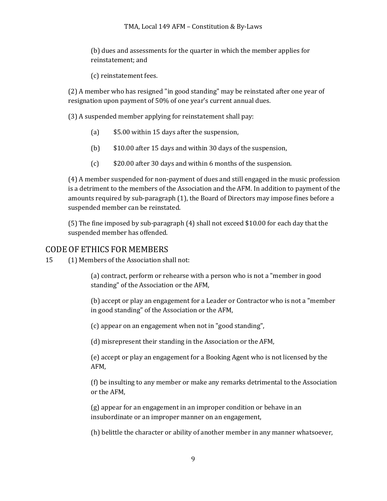(b) dues and assessments for the quarter in which the member applies for reinstatement; and

(c) reinstatement fees.

(2) A member who has resigned "in good standing" may be reinstated after one year of resignation upon payment of 50% of one year's current annual dues.

(3) A suspended member applying for reinstatement shall pay:

- (a)  $$5.00$  within 15 days after the suspension,
- (b)  $$10.00$  after 15 days and within 30 days of the suspension,
- (c) \$20.00 after 30 days and within 6 months of the suspension.

(4) A member suspended for non-payment of dues and still engaged in the music profession is a detriment to the members of the Association and the AFM. In addition to payment of the amounts required by sub-paragraph (1), the Board of Directors may impose fines before a suspended member can be reinstated.

(5) The fine imposed by sub-paragraph  $(4)$  shall not exceed \$10.00 for each day that the suspended member has offended.

### CODE OF ETHICS FOR MEMBERS

15 (1) Members of the Association shall not:

(a) contract, perform or rehearse with a person who is not a "member in good standing" of the Association or the AFM,

(b) accept or play an engagement for a Leader or Contractor who is not a "member" in good standing" of the Association or the AFM,

(c) appear on an engagement when not in "good standing",

(d) misrepresent their standing in the Association or the AFM,

(e) accept or play an engagement for a Booking Agent who is not licensed by the AFM,

(f) be insulting to any member or make any remarks detrimental to the Association or the AFM,

(g) appear for an engagement in an improper condition or behave in an insubordinate or an improper manner on an engagement,

(h) belittle the character or ability of another member in any manner whatsoever,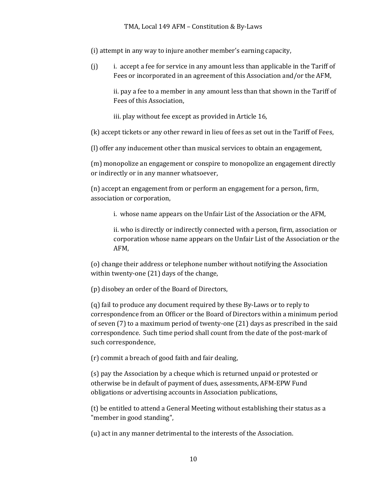(i) attempt in any way to injure another member's earning capacity,

 $(i)$  i. accept a fee for service in any amount less than applicable in the Tariff of Fees or incorporated in an agreement of this Association and/or the AFM,

ii. pay a fee to a member in any amount less than that shown in the Tariff of Fees of this Association.

iii. play without fee except as provided in Article 16,

(k) accept tickets or any other reward in lieu of fees as set out in the Tariff of Fees,

(I) offer any inducement other than musical services to obtain an engagement,

(m) monopolize an engagement or conspire to monopolize an engagement directly or indirectly or in any manner whatsoever,

(n) accept an engagement from or perform an engagement for a person, firm, association or corporation,

i. whose name appears on the Unfair List of the Association or the AFM,

ii. who is directly or indirectly connected with a person, firm, association or corporation whose name appears on the Unfair List of the Association or the AFM,

(o) change their address or telephone number without notifying the Association within twenty-one  $(21)$  days of the change,

(p) disobey an order of the Board of Directors,

(q) fail to produce any document required by these By-Laws or to reply to correspondence from an Officer or the Board of Directors within a minimum period of seven  $(7)$  to a maximum period of twenty-one  $(21)$  days as prescribed in the said correspondence. Such time period shall count from the date of the post-mark of such correspondence,

 $(r)$  commit a breach of good faith and fair dealing,

(s) pay the Association by a cheque which is returned unpaid or protested or otherwise be in default of payment of dues, assessments, AFM-EPW Fund obligations or advertising accounts in Association publications,

(t) be entitled to attend a General Meeting without establishing their status as a "member in good standing",

(u) act in any manner detrimental to the interests of the Association.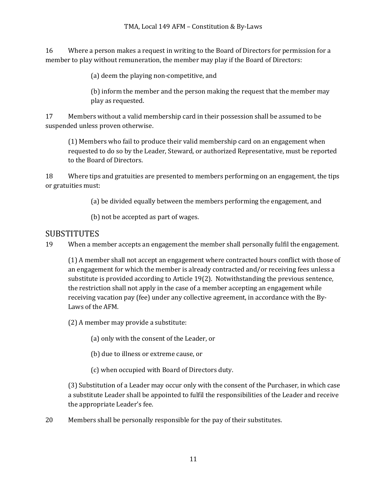16 Where a person makes a request in writing to the Board of Directors for permission for a member to play without remuneration, the member may play if the Board of Directors:

(a) deem the playing non-competitive, and

(b) inform the member and the person making the request that the member may play as requested.

17 Members without a valid membership card in their possession shall be assumed to be suspended unless proven otherwise.

(1) Members who fail to produce their valid membership card on an engagement when requested to do so by the Leader, Steward, or authorized Representative, must be reported to the Board of Directors.

18 Where tips and gratuities are presented to members performing on an engagement, the tips or gratuities must:

(a) be divided equally between the members performing the engagement, and

(b) not be accepted as part of wages.

### **SUBSTITUTES**

19 When a member accepts an engagement the member shall personally fulfil the engagement.

(1) A member shall not accept an engagement where contracted hours conflict with those of an engagement for which the member is already contracted and/or receiving fees unless a substitute is provided according to Article 19(2). Notwithstanding the previous sentence, the restriction shall not apply in the case of a member accepting an engagement while receiving vacation pay (fee) under any collective agreement, in accordance with the By-Laws of the AFM.

(2) A member may provide a substitute:

(a) only with the consent of the Leader, or

(b) due to illness or extreme cause, or

(c) when occupied with Board of Directors duty.

(3) Substitution of a Leader may occur only with the consent of the Purchaser, in which case a substitute Leader shall be appointed to fulfil the responsibilities of the Leader and receive the appropriate Leader's fee.

20 Members shall be personally responsible for the pay of their substitutes.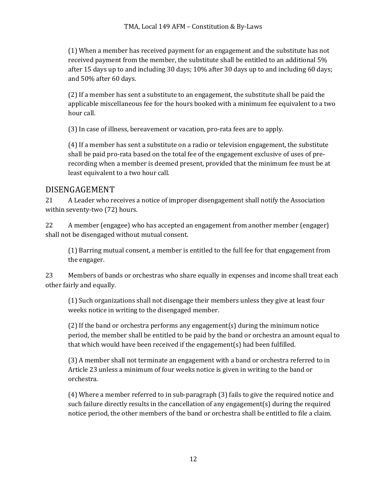(1) When a member has received payment for an engagement and the substitute has not received payment from the member, the substitute shall be entitled to an additional 5% after 15 days up to and including 30 days; 10% after 30 days up to and including 60 days; and 50% after 60 days.

(2) If a member has sent a substitute to an engagement, the substitute shall be paid the applicable miscellaneous fee for the hours booked with a minimum fee equivalent to a two hour call.

(3) In case of illness, bereavement or vacation, pro-rata fees are to apply.

(4) If a member has sent a substitute on a radio or television engagement, the substitute shall be paid pro-rata based on the total fee of the engagement exclusive of uses of prerecording when a member is deemed present, provided that the minimum fee must be at least equivalent to a two hour call.

### DISENGAGEMENT

21 A Leader who receives a notice of improper disengagement shall notify the Association within seventy-two (72) hours.

22 A member (engagee) who has accepted an engagement from another member (engager) shall not be disengaged without mutual consent.

(1) Barring mutual consent, a member is entitled to the full fee for that engagement from the engager.

23 Members of bands or orchestras who share equally in expenses and income shall treat each other fairly and equally.

(1) Such organizations shall not disengage their members unless they give at least four weeks notice in writing to the disengaged member.

(2) If the band or orchestra performs any engagement(s) during the minimum notice period, the member shall be entitled to be paid by the band or orchestra an amount equal to that which would have been received if the engagement(s) had been fulfilled.

(3) A member shall not terminate an engagement with a band or orchestra referred to in Article 23 unless a minimum of four weeks notice is given in writing to the band or orchestra.

(4) Where a member referred to in sub-paragraph (3) fails to give the required notice and such failure directly results in the cancellation of any engagement(s) during the required notice period, the other members of the band or orchestra shall be entitled to file a claim.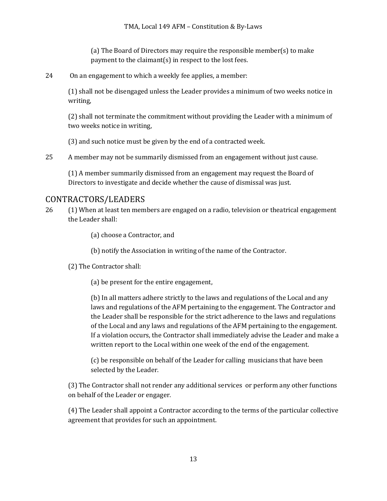(a) The Board of Directors may require the responsible member(s) to make payment to the claimant(s) in respect to the lost fees.

24 On an engagement to which a weekly fee applies, a member:

 $(1)$  shall not be disengaged unless the Leader provides a minimum of two weeks notice in writing,

(2) shall not terminate the commitment without providing the Leader with a minimum of two weeks notice in writing,

(3) and such notice must be given by the end of a contracted week.

25 A member may not be summarily dismissed from an engagement without just cause.

(1) A member summarily dismissed from an engagement may request the Board of Directors to investigate and decide whether the cause of dismissal was just.

# CONTRACTORS/LEADERS

26 (1) When at least ten members are engaged on a radio, television or theatrical engagement the Leader shall:

(a) choose a Contractor, and

(b) notify the Association in writing of the name of the Contractor.

(2) The Contractor shall:

(a) be present for the entire engagement,

(b) In all matters adhere strictly to the laws and regulations of the Local and any laws and regulations of the AFM pertaining to the engagement. The Contractor and the Leader shall be responsible for the strict adherence to the laws and regulations of the Local and any laws and regulations of the AFM pertaining to the engagement. If a violation occurs, the Contractor shall immediately advise the Leader and make a written report to the Local within one week of the end of the engagement.

(c) be responsible on behalf of the Leader for calling musicians that have been selected by the Leader.

(3) The Contractor shall not render any additional services or perform any other functions on behalf of the Leader or engager.

(4) The Leader shall appoint a Contractor according to the terms of the particular collective agreement that provides for such an appointment.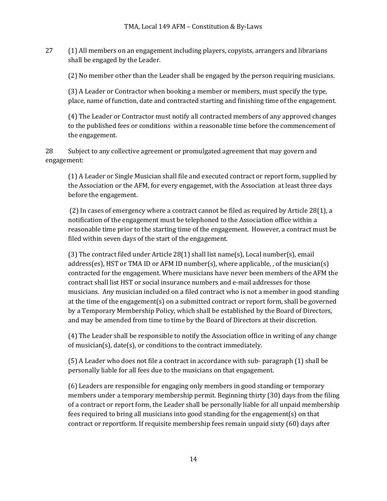27 (1) All members on an engagement including players, copyists, arrangers and librarians shall be engaged by the Leader.

(2) No member other than the Leader shall be engaged by the person requiring musicians.

(3) A Leader or Contractor when booking a member or members, must specify the type, place, name of function, date and contracted starting and finishing time of the engagement.

(4) The Leader or Contractor must notify all contracted members of any approved changes to the published fees or conditions within a reasonable time before the commencement of the engagement.

28 Subject to any collective agreement or promulgated agreement that may govern and engagement:

(1) A Leader or Single Musician shall file and executed contract or report form, supplied by the Association or the AFM, for every engagemet, with the Association at least three days before the engagement.

(2) In cases of emergency where a contract cannot be filed as required by Article  $28(1)$ , a notification of the engagement must be telephoned to the Association office within a reasonable time prior to the starting time of the engagement. However, a contract must be filed within seven days of the start of the engagement.

(3) The contract filed under Article  $28(1)$  shall list name(s), Local number(s), email address(es), HST or TMA ID or AFM ID number(s), where applicable, , of the musician(s) contracted for the engagement. Where musicians have never been members of the AFM the contract shall list HST or social insurance numbers and e-mail addresses for those musicians. Any musician included on a filed contract who is not a member in good standing at the time of the engagement(s) on a submitted contract or report form, shall be governed by a Temporary Membership Policy, which shall be established by the Board of Directors, and may be amended from time to time by the Board of Directors at their discretion.

(4) The Leader shall be responsible to notify the Association office in writing of any change of musician(s), date(s), or conditions to the contract immediately.

(5) A Leader who does not file a contract in accordance with sub- paragraph (1) shall be personally liable for all fees due to the musicians on that engagement.

(6) Leaders are responsible for engaging only members in good standing or temporary members under a temporary membership permit. Beginning thirty (30) days from the filing of a contract or report form, the Leader shall be personally liable for all unpaid membership fees required to bring all musicians into good standing for the engagement(s) on that contract or reportform. If requisite membership fees remain unpaid sixty (60) days after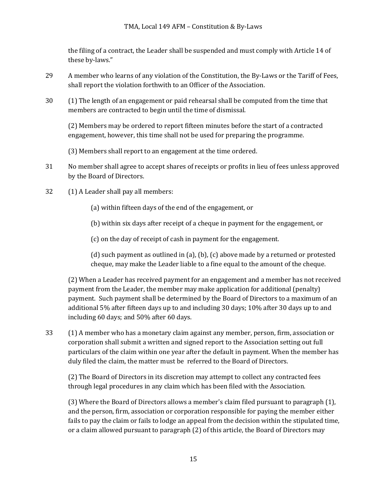the filing of a contract, the Leader shall be suspended and must comply with Article 14 of these by-laws."

- 29 A member who learns of any violation of the Constitution, the By-Laws or the Tariff of Fees, shall report the violation forthwith to an Officer of the Association.
- 30 (1) The length of an engagement or paid rehearsal shall be computed from the time that members are contracted to begin until the time of dismissal.

(2) Members may be ordered to report fifteen minutes before the start of a contracted engagement, however, this time shall not be used for preparing the programme.

(3) Members shall report to an engagement at the time ordered.

- 31 No member shall agree to accept shares of receipts or profits in lieu of fees unless approved by the Board of Directors.
- 32 (1) A Leader shall pay all members:

(a) within fifteen days of the end of the engagement, or

(b) within six days after receipt of a cheque in payment for the engagement, or

(c) on the day of receipt of cash in payment for the engagement.

(d) such payment as outlined in (a), (b), (c) above made by a returned or protested cheque, may make the Leader liable to a fine equal to the amount of the cheque.

(2) When a Leader has received payment for an engagement and a member has not received payment from the Leader, the member may make application for additional (penalty) payment. Such payment shall be determined by the Board of Directors to a maximum of an additional  $5\%$  after fifteen days up to and including 30 days; 10% after 30 days up to and including 60 days; and 50% after 60 days.

33 (1) A member who has a monetary claim against any member, person, firm, association or corporation shall submit a written and signed report to the Association setting out full particulars of the claim within one year after the default in payment. When the member has duly filed the claim, the matter must be referred to the Board of Directors.

(2) The Board of Directors in its discretion may attempt to collect any contracted fees through legal procedures in any claim which has been filed with the Association.

(3) Where the Board of Directors allows a member's claim filed pursuant to paragraph (1), and the person, firm, association or corporation responsible for paying the member either fails to pay the claim or fails to lodge an appeal from the decision within the stipulated time, or a claim allowed pursuant to paragraph (2) of this article, the Board of Directors may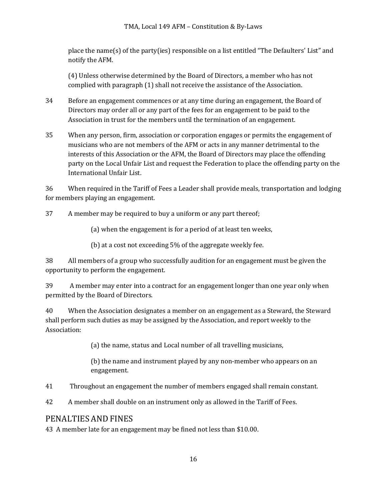place the name(s) of the party(ies) responsible on a list entitled "The Defaulters' List" and notify the AFM.

(4) Unless otherwise determined by the Board of Directors, a member who has not complied with paragraph (1) shall not receive the assistance of the Association.

- 34 Before an engagement commences or at any time during an engagement, the Board of Directors may order all or any part of the fees for an engagement to be paid to the Association in trust for the members until the termination of an engagement.
- 35 When any person, firm, association or corporation engages or permits the engagement of musicians who are not members of the AFM or acts in any manner detrimental to the interests of this Association or the AFM, the Board of Directors may place the offending party on the Local Unfair List and request the Federation to place the offending party on the International Unfair List.

36 When required in the Tariff of Fees a Leader shall provide meals, transportation and lodging for members playing an engagement.

37 A member may be required to buy a uniform or any part thereof;

(a) when the engagement is for a period of at least ten weeks,

(b) at a cost not exceeding  $5\%$  of the aggregate weekly fee.

38 All members of a group who successfully audition for an engagement must be given the opportunity to perform the engagement.

39 A member may enter into a contract for an engagement longer than one year only when permitted by the Board of Directors.

40 When the Association designates a member on an engagement as a Steward, the Steward shall perform such duties as may be assigned by the Association, and report weekly to the Association:

(a) the name, status and Local number of all travelling musicians,

(b) the name and instrument played by any non-member who appears on an engagement.

41 Throughout an engagement the number of members engaged shall remain constant.

42 A member shall double on an instrument only as allowed in the Tariff of Fees.

## PENALTIES AND FINES

43 A member late for an engagement may be fined not less than \$10.00.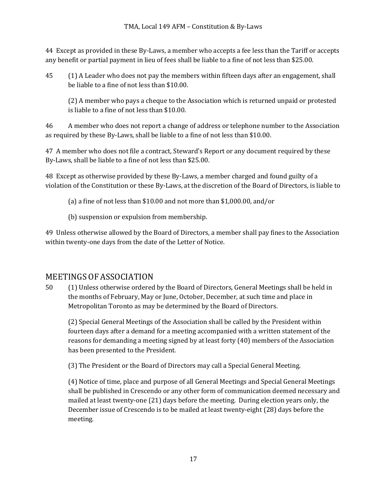44 Except as provided in these By-Laws, a member who accepts a fee less than the Tariff or accepts any benefit or partial payment in lieu of fees shall be liable to a fine of not less than \$25.00.

45 (1) A Leader who does not pay the members within fifteen days after an engagement, shall be liable to a fine of not less than \$10.00.

(2) A member who pays a cheque to the Association which is returned unpaid or protested is liable to a fine of not less than \$10.00.

46 A member who does not report a change of address or telephone number to the Association as required by these By-Laws, shall be liable to a fine of not less than \$10.00.

47 A member who does not file a contract, Steward's Report or any document required by these By-Laws, shall be liable to a fine of not less than \$25.00.

48 Except as otherwise provided by these By-Laws, a member charged and found guilty of a violation of the Constitution or these By-Laws, at the discretion of the Board of Directors, is liable to

(a) a fine of not less than \$10.00 and not more than \$1,000.00, and/or

(b) suspension or expulsion from membership.

49 Unless otherwise allowed by the Board of Directors, a member shall pay fines to the Association within twenty-one days from the date of the Letter of Notice.

# MEETINGS OF ASSOCIATION

50 (1) Unless otherwise ordered by the Board of Directors, General Meetings shall be held in the months of February, May or June, October, December, at such time and place in Metropolitan Toronto as may be determined by the Board of Directors.

(2) Special General Meetings of the Association shall be called by the President within fourteen days after a demand for a meeting accompanied with a written statement of the reasons for demanding a meeting signed by at least forty (40) members of the Association has been presented to the President.

(3) The President or the Board of Directors may call a Special General Meeting.

(4) Notice of time, place and purpose of all General Meetings and Special General Meetings shall be published in Crescendo or any other form of communication deemed necessary and mailed at least twenty-one (21) days before the meeting. During election years only, the December issue of Crescendo is to be mailed at least twenty-eight (28) days before the meeting.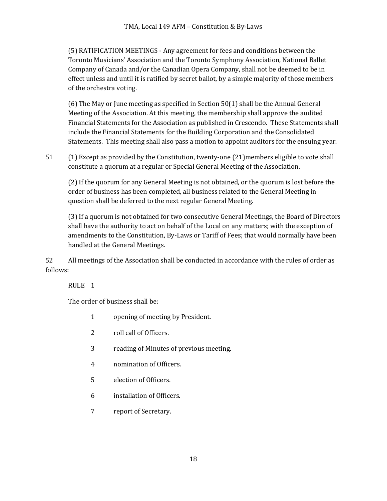(5) RATIFICATION MEETINGS - Any agreement for fees and conditions between the Toronto Musicians' Association and the Toronto Symphony Association, National Ballet Company of Canada and/or the Canadian Opera Company, shall not be deemed to be in effect unless and until it is ratified by secret ballot, by a simple majority of those members of the orchestra voting.

(6) The May or June meeting as specified in Section  $50(1)$  shall be the Annual General Meeting of the Association. At this meeting, the membership shall approve the audited Financial Statements for the Association as published in Crescendo. These Statements shall include the Financial Statements for the Building Corporation and the Consolidated Statements. This meeting shall also pass a motion to appoint auditors for the ensuing year.

51 (1) Except as provided by the Constitution, twenty-one (21) members eligible to vote shall constitute a quorum at a regular or Special General Meeting of the Association.

(2) If the quorum for any General Meeting is not obtained, or the quorum is lost before the order of business has been completed, all business related to the General Meeting in question shall be deferred to the next regular General Meeting.

(3) If a quorum is not obtained for two consecutive General Meetings, the Board of Directors shall have the authority to act on behalf of the Local on any matters; with the exception of amendments to the Constitution, By-Laws or Tariff of Fees; that would normally have been handled at the General Meetings.

52 All meetings of the Association shall be conducted in accordance with the rules of order as follows:

RULE<sub>1</sub>

The order of business shall be:

- 1 opening of meeting by President.
- 2 roll call of Officers.
- 3 reading of Minutes of previous meeting.
- 4 nomination of Officers.
- 5 election of Officers.
- 6 installation of Officers.
- 7 report of Secretary.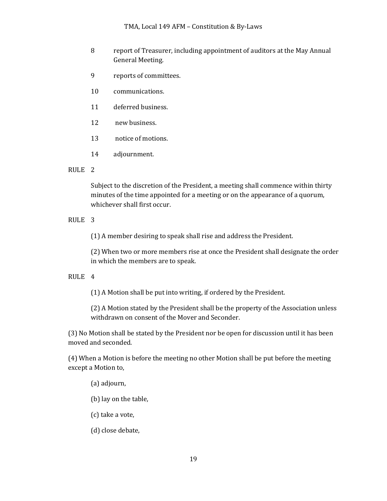#### TMA, Local 149 AFM - Constitution & By-Laws

- 8 report of Treasurer, including appointment of auditors at the May Annual General Meeting.
- 9 reports of committees.
- 10 communications.
- 11 deferred business.
- 12 new business.
- 13 notice of motions.
- 14 adjournment.

#### RULE<sub>2</sub>

Subject to the discretion of the President, a meeting shall commence within thirty minutes of the time appointed for a meeting or on the appearance of a quorum, whichever shall first occur.

### RULE<sub>3</sub>

(1) A member desiring to speak shall rise and address the President.

(2) When two or more members rise at once the President shall designate the order in which the members are to speak.

#### RULE 4

(1) A Motion shall be put into writing, if ordered by the President.

(2) A Motion stated by the President shall be the property of the Association unless withdrawn on consent of the Mover and Seconder.

(3) No Motion shall be stated by the President nor be open for discussion until it has been moved and seconded.

(4) When a Motion is before the meeting no other Motion shall be put before the meeting except a Motion to,

#### (a) adjourn,

- (b) lay on the table,
- (c) take a vote,
- (d) close debate,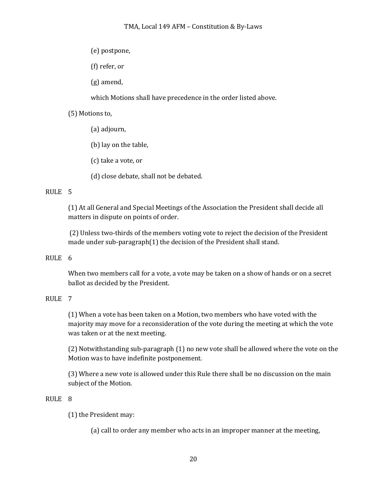- (e) postpone,
- (f) refer, or
- $(g)$  amend,

which Motions shall have precedence in the order listed above.

### (5) Motions to,

- (a) adjourn,
- (b) lay on the table,
- (c) take a vote, or
- (d) close debate, shall not be debated.

### RULE 5

(1) At all General and Special Meetings of the Association the President shall decide all matters in dispute on points of order.

(2) Unless two-thirds of the members voting vote to reject the decision of the President made under sub-paragraph $(1)$  the decision of the President shall stand.

### RULE<sub>6</sub>

When two members call for a vote, a vote may be taken on a show of hands or on a secret ballot as decided by the President.

### RULE<sub>7</sub>

(1) When a vote has been taken on a Motion, two members who have voted with the majority may move for a reconsideration of the vote during the meeting at which the vote was taken or at the next meeting.

(2) Notwithstanding sub-paragraph (1) no new vote shall be allowed where the vote on the Motion was to have indefinite postponement.

(3) Where a new vote is allowed under this Rule there shall be no discussion on the main subject of the Motion.

### RULE 8

(1) the President may:

(a) call to order any member who acts in an improper manner at the meeting,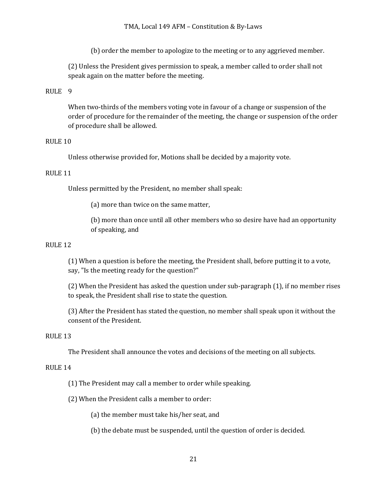(b) order the member to apologize to the meeting or to any aggrieved member.

(2) Unless the President gives permission to speak, a member called to order shall not speak again on the matter before the meeting.

#### RULE 9

When two-thirds of the members voting vote in favour of a change or suspension of the order of procedure for the remainder of the meeting, the change or suspension of the order of procedure shall be allowed.

#### RULE 10

Unless otherwise provided for, Motions shall be decided by a majority vote.

#### RULE 11

Unless permitted by the President, no member shall speak:

(a) more than twice on the same matter,

(b) more than once until all other members who so desire have had an opportunity of speaking, and

#### RULE 12

(1) When a question is before the meeting, the President shall, before putting it to a vote, say, "Is the meeting ready for the question?"

(2) When the President has asked the question under sub-paragraph (1), if no member rises to speak, the President shall rise to state the question.

(3) After the President has stated the question, no member shall speak upon it without the consent of the President.

#### RULE 13

The President shall announce the votes and decisions of the meeting on all subjects.

#### RULE 14

 $(1)$  The President may call a member to order while speaking.

(2) When the President calls a member to order:

(a) the member must take his/her seat, and

(b) the debate must be suspended, until the question of order is decided.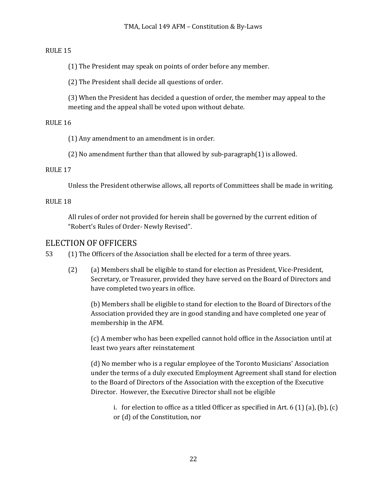### RULE 15

(1) The President may speak on points of order before any member.

(2) The President shall decide all questions of order.

(3) When the President has decided a question of order, the member may appeal to the meeting and the appeal shall be voted upon without debate.

### RULE 16

 $(1)$  Any amendment to an amendment is in order.

(2) No amendment further than that allowed by sub-paragraph $(1)$  is allowed.

### RULE 17

Unless the President otherwise allows, all reports of Committees shall be made in writing.

### RULE 18

All rules of order not provided for herein shall be governed by the current edition of "Robert's Rules of Order- Newly Revised".

### ELECTION OF OFFICERS

53 (1) The Officers of the Association shall be elected for a term of three years.

(2) (a) Members shall be eligible to stand for election as President, Vice-President, Secretary, or Treasurer, provided they have served on the Board of Directors and have completed two years in office.

(b) Members shall be eligible to stand for election to the Board of Directors of the Association provided they are in good standing and have completed one year of membership in the AFM.

(c) A member who has been expelled cannot hold office in the Association until at least two years after reinstatement

(d) No member who is a regular employee of the Toronto Musicians' Association under the terms of a duly executed Employment Agreement shall stand for election to the Board of Directors of the Association with the exception of the Executive Director. However, the Executive Director shall not be eligible

i. for election to office as a titled Officer as specified in Art.  $6(1)(a)$ ,  $(b)$ ,  $(c)$ or (d) of the Constitution, nor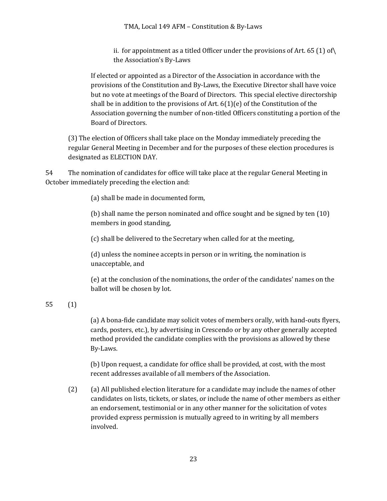ii. for appointment as a titled Officer under the provisions of Art.  $65$  (1) of  $\langle$ the Association's By-Laws

If elected or appointed as a Director of the Association in accordance with the provisions of the Constitution and By-Laws, the Executive Director shall have voice but no vote at meetings of the Board of Directors. This special elective directorship shall be in addition to the provisions of Art.  $6(1)(e)$  of the Constitution of the Association governing the number of non-titled Officers constituting a portion of the Board of Directors.

(3) The election of Officers shall take place on the Monday immediately preceding the regular General Meeting in December and for the purposes of these election procedures is designated as ELECTION DAY.

54 The nomination of candidates for office will take place at the regular General Meeting in October immediately preceding the election and:

(a) shall be made in documented form,

(b) shall name the person nominated and office sought and be signed by ten  $(10)$ members in good standing,

(c) shall be delivered to the Secretary when called for at the meeting,

 $(d)$  unless the nominee accepts in person or in writing, the nomination is unacceptable, and

(e) at the conclusion of the nominations, the order of the candidates' names on the ballot will be chosen by lot.

### 55 (1)

(a) A bona-fide candidate may solicit votes of members orally, with hand-outs flyers, cards, posters, etc.), by advertising in Crescendo or by any other generally accepted method provided the candidate complies with the provisions as allowed by these By-Laws.

(b) Upon request, a candidate for office shall be provided, at cost, with the most recent addresses available of all members of the Association.

(2) (a) All published election literature for a candidate may include the names of other candidates on lists, tickets, or slates, or include the name of other members as either an endorsement, testimonial or in any other manner for the solicitation of votes provided express permission is mutually agreed to in writing by all members involved.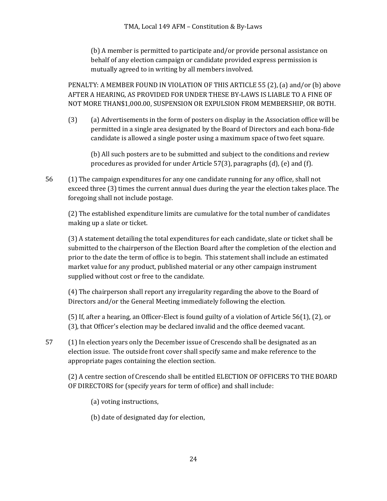(b) A member is permitted to participate and/or provide personal assistance on behalf of any election campaign or candidate provided express permission is mutually agreed to in writing by all members involved.

PENALTY: A MEMBER FOUND IN VIOLATION OF THIS ARTICLE 55 (2), (a) and/or (b) above AFTER A HEARING, AS PROVIDED FOR UNDER THESE BY-LAWS IS LIABLE TO A FINE OF NOT MORE THAN\$1,000.00, SUSPENSION OR EXPULSION FROM MEMBERSHIP, OR BOTH.

(3) (a) Advertisements in the form of posters on display in the Association office will be permitted in a single area designated by the Board of Directors and each bona-fide candidate is allowed a single poster using a maximum space of two feet square.

(b) All such posters are to be submitted and subject to the conditions and review procedures as provided for under Article  $57(3)$ , paragraphs  $(d)$ ,  $(e)$  and  $(f)$ .

56 (1) The campaign expenditures for any one candidate running for any office, shall not exceed three (3) times the current annual dues during the year the election takes place. The foregoing shall not include postage.

(2) The established expenditure limits are cumulative for the total number of candidates making up a slate or ticket.

(3) A statement detailing the total expenditures for each candidate, slate or ticket shall be submitted to the chairperson of the Election Board after the completion of the election and prior to the date the term of office is to begin. This statement shall include an estimated market value for any product, published material or any other campaign instrument supplied without cost or free to the candidate.

(4) The chairperson shall report any irregularity regarding the above to the Board of Directors and/or the General Meeting immediately following the election.

(5) If, after a hearing, an Officer-Elect is found guilty of a violation of Article  $56(1)$ , (2), or (3), that Officer's election may be declared invalid and the office deemed vacant.

57 (1) In election years only the December issue of Crescendo shall be designated as an election issue. The outside front cover shall specify same and make reference to the appropriate pages containing the election section.

(2) A centre section of Crescendo shall be entitled ELECTION OF OFFICERS TO THE BOARD OF DIRECTORS for (specify years for term of office) and shall include:

(a) voting instructions,

(b) date of designated day for election,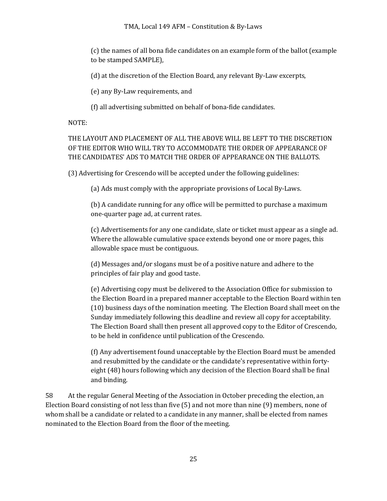#### TMA, Local 149 AFM – Constitution & By-Laws

(c) the names of all bona fide candidates on an example form of the ballot (example to be stamped SAMPLE),

(d) at the discretion of the Election Board, any relevant By-Law excerpts,

(e) any By-Law requirements, and

(f) all advertising submitted on behalf of bona-fide candidates.

NOTE:

THE LAYOUT AND PLACEMENT OF ALL THE ABOVE WILL BE LEFT TO THE DISCRETION OF THE EDITOR WHO WILL TRY TO ACCOMMODATE THE ORDER OF APPEARANCE OF THE CANDIDATES' ADS TO MATCH THE ORDER OF APPEARANCE ON THE BALLOTS.

(3) Advertising for Crescendo will be accepted under the following guidelines:

(a) Ads must comply with the appropriate provisions of Local By-Laws.

(b) A candidate running for any office will be permitted to purchase a maximum one-quarter page ad, at current rates.

(c) Advertisements for any one candidate, slate or ticket must appear as a single ad. Where the allowable cumulative space extends beyond one or more pages, this allowable space must be contiguous.

(d) Messages and/or slogans must be of a positive nature and adhere to the principles of fair play and good taste.

(e) Advertising copy must be delivered to the Association Office for submission to the Election Board in a prepared manner acceptable to the Election Board within ten (10) business days of the nomination meeting. The Election Board shall meet on the Sunday immediately following this deadline and review all copy for acceptability. The Election Board shall then present all approved copy to the Editor of Crescendo, to be held in confidence until publication of the Crescendo.

(f) Any advertisement found unacceptable by the Election Board must be amended and resubmitted by the candidate or the candidate's representative within fortyeight (48) hours following which any decision of the Election Board shall be final and binding.

58 At the regular General Meeting of the Association in October preceding the election, an Election Board consisting of not less than five  $(5)$  and not more than nine  $(9)$  members, none of whom shall be a candidate or related to a candidate in any manner, shall be elected from names nominated to the Election Board from the floor of the meeting.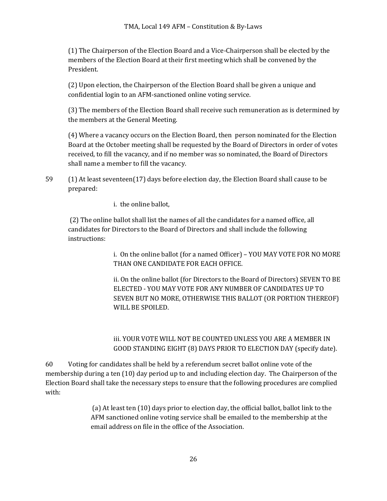(1) The Chairperson of the Election Board and a Vice-Chairperson shall be elected by the members of the Election Board at their first meeting which shall be convened by the President.

(2) Upon election, the Chairperson of the Election Board shall be given a unique and confidential login to an AFM-sanctioned online voting service.

(3) The members of the Election Board shall receive such remuneration as is determined by the members at the General Meeting.

(4) Where a vacancy occurs on the Election Board, then person nominated for the Election Board at the October meeting shall be requested by the Board of Directors in order of votes received, to fill the vacancy, and if no member was so nominated, the Board of Directors shall name a member to fill the vacancy.

59 (1) At least seventeen(17) days before election day, the Election Board shall cause to be prepared:

i. the online ballot,

(2) The online ballot shall list the names of all the candidates for a named office, all candidates for Directors to the Board of Directors and shall include the following instructions:

> i. On the online ballot (for a named Officer) – YOU MAY VOTE FOR NO MORE THAN ONE CANDIDATE FOR EACH OFFICE.

> ii. On the online ballot (for Directors to the Board of Directors) SEVEN TO BE ELECTED - YOU MAY VOTE FOR ANY NUMBER OF CANDIDATES UP TO SEVEN BUT NO MORE, OTHERWISE THIS BALLOT (OR PORTION THEREOF) WILL BE SPOILED.

iii. YOUR VOTE WILL NOT BE COUNTED UNLESS YOU ARE A MEMBER IN GOOD STANDING EIGHT (8) DAYS PRIOR TO ELECTION DAY (specify date).

60 Voting for candidates shall be held by a referendum secret ballot online vote of the membership during a ten  $(10)$  day period up to and including election day. The Chairperson of the Election Board shall take the necessary steps to ensure that the following procedures are complied with:

> (a) At least ten (10) days prior to election day, the official ballot, ballot link to the AFM sanctioned online voting service shall be emailed to the membership at the email address on file in the office of the Association.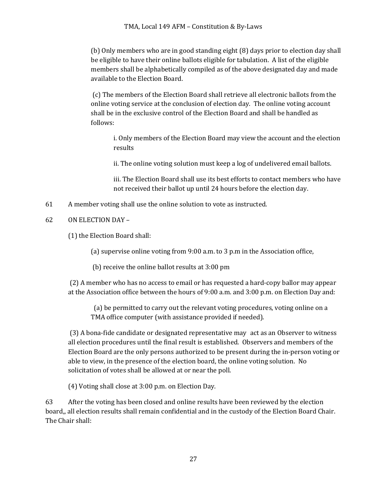(b) Only members who are in good standing eight (8) days prior to election day shall be eligible to have their online ballots eligible for tabulation. A list of the eligible members shall be alphabetically compiled as of the above designated day and made available to the Election Board.

(c) The members of the Election Board shall retrieve all electronic ballots from the online voting service at the conclusion of election day. The online voting account shall be in the exclusive control of the Election Board and shall be handled as follows:

i. Only members of the Election Board may view the account and the election results

ii. The online voting solution must keep a log of undelivered email ballots.

iii. The Election Board shall use its best efforts to contact members who have not received their ballot up until 24 hours before the election day.

- 61 A member voting shall use the online solution to vote as instructed.
- 62 ON ELECTION DAY –

(1) the Election Board shall:

(a) supervise online voting from  $9:00$  a.m. to 3 p.m in the Association office,

(b) receive the online ballot results at 3:00 pm

(2) A member who has no access to email or has requested a hard-copy ballor may appear at the Association office between the hours of 9:00 a.m. and 3:00 p.m. on Election Day and:

(a) be permitted to carry out the relevant voting procedures, voting online on a TMA office computer (with assistance provided if needed).

(3) A bona-fide candidate or designated representative may act as an Observer to witness all election procedures until the final result is established. Observers and members of the Election Board are the only persons authorized to be present during the in-person voting or able to view, in the presence of the election board, the online voting solution. No solicitation of votes shall be allowed at or near the poll.

(4) Voting shall close at 3:00 p.m. on Election Day.

63 After the voting has been closed and online results have been reviewed by the election board,, all election results shall remain confidential and in the custody of the Election Board Chair. The Chair shall: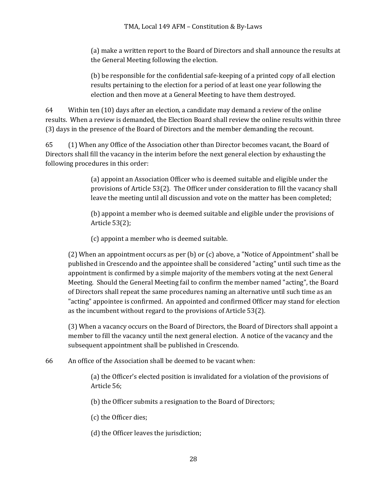(a) make a written report to the Board of Directors and shall announce the results at the General Meeting following the election.

(b) be responsible for the confidential safe-keeping of a printed copy of all election results pertaining to the election for a period of at least one year following the election and then move at a General Meeting to have them destroyed.

64 Within ten (10) days after an election, a candidate may demand a review of the online results. When a review is demanded, the Election Board shall review the online results within three (3) days in the presence of the Board of Directors and the member demanding the recount.

65 (1) When any Office of the Association other than Director becomes vacant, the Board of Directors shall fill the vacancy in the interim before the next general election by exhausting the following procedures in this order:

> (a) appoint an Association Officer who is deemed suitable and eligible under the provisions of Article  $53(2)$ . The Officer under consideration to fill the vacancy shall leave the meeting until all discussion and vote on the matter has been completed;

(b) appoint a member who is deemed suitable and eligible under the provisions of Article  $53(2)$ ;

(c) appoint a member who is deemed suitable.

(2) When an appointment occurs as per (b) or (c) above, a "Notice of Appointment" shall be published in Crescendo and the appointee shall be considered "acting" until such time as the appointment is confirmed by a simple majority of the members voting at the next General Meeting. Should the General Meeting fail to confirm the member named "acting", the Board of Directors shall repeat the same procedures naming an alternative until such time as an "acting" appointee is confirmed. An appointed and confirmed Officer may stand for election as the incumbent without regard to the provisions of Article  $53(2)$ .

(3) When a vacancy occurs on the Board of Directors, the Board of Directors shall appoint a member to fill the vacancy until the next general election. A notice of the vacancy and the subsequent appointment shall be published in Crescendo.

66 An office of the Association shall be deemed to be vacant when:

(a) the Officer's elected position is invalidated for a violation of the provisions of Article 56;

(b) the Officer submits a resignation to the Board of Directors;

(c) the Officer dies;

(d) the Officer leaves the jurisdiction;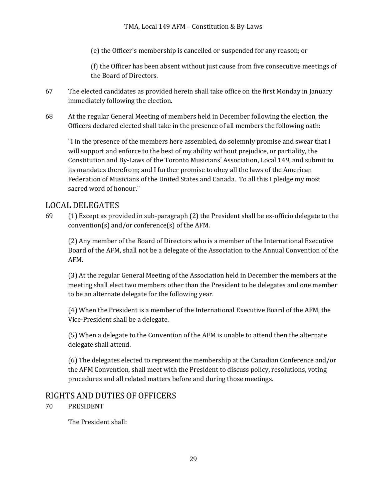### TMA, Local 149 AFM – Constitution & By-Laws

(e) the Officer's membership is cancelled or suspended for any reason; or

(f) the Officer has been absent without just cause from five consecutive meetings of the Board of Directors.

- 67 The elected candidates as provided herein shall take office on the first Monday in January immediately following the election.
- 68 At the regular General Meeting of members held in December following the election, the Officers declared elected shall take in the presence of all members the following oath:

"I in the presence of the members here assembled, do solemnly promise and swear that I will support and enforce to the best of my ability without prejudice, or partiality, the Constitution and By-Laws of the Toronto Musicians' Association, Local 149, and submit to its mandates therefrom; and I further promise to obey all the laws of the American Federation of Musicians of the United States and Canada. To all this I pledge my most sacred word of honour."

### LOCAL DELEGATES

69 (1) Except as provided in sub-paragraph (2) the President shall be ex-officio delegate to the convention(s) and/or conference(s) of the AFM.

(2) Any member of the Board of Directors who is a member of the International Executive Board of the AFM, shall not be a delegate of the Association to the Annual Convention of the AFM.

(3) At the regular General Meeting of the Association held in December the members at the meeting shall elect two members other than the President to be delegates and one member to be an alternate delegate for the following year.

(4) When the President is a member of the International Executive Board of the AFM, the Vice-President shall be a delegate.

(5) When a delegate to the Convention of the AFM is unable to attend then the alternate delegate shall attend.

(6) The delegates elected to represent the membership at the Canadian Conference and/or the AFM Convention, shall meet with the President to discuss policy, resolutions, voting procedures and all related matters before and during those meetings.

### RIGHTS AND DUTIES OF OFFICERS

### 70 PRESIDENT

The President shall: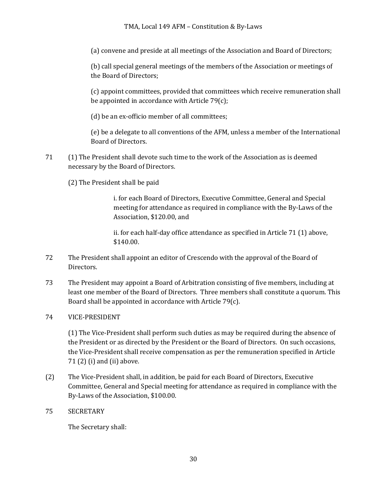### TMA, Local 149 AFM – Constitution & By-Laws

(a) convene and preside at all meetings of the Association and Board of Directors;

(b) call special general meetings of the members of the Association or meetings of the Board of Directors;

(c) appoint committees, provided that committees which receive remuneration shall be appointed in accordance with Article  $79(c)$ ;

(d) be an ex-officio member of all committees;

(e) be a delegate to all conventions of the AFM, unless a member of the International Board of Directors.

- 71 (1) The President shall devote such time to the work of the Association as is deemed necessary by the Board of Directors.
	- (2) The President shall be paid

i. for each Board of Directors, Executive Committee, General and Special meeting for attendance as required in compliance with the By-Laws of the Association, \$120.00, and

ii. for each half-day office attendance as specified in Article 71 (1) above, \$140.00.

- 72 The President shall appoint an editor of Crescendo with the approval of the Board of Directors.
- 73 The President may appoint a Board of Arbitration consisting of five members, including at least one member of the Board of Directors. Three members shall constitute a quorum. This Board shall be appointed in accordance with Article  $79(c)$ .
- 74 VICE-PRESIDENT

(1) The Vice-President shall perform such duties as may be required during the absence of the President or as directed by the President or the Board of Directors. On such occasions, the Vice-President shall receive compensation as per the remuneration specified in Article  $71(2)$  (i) and (ii) above.

- (2) The Vice-President shall, in addition, be paid for each Board of Directors, Executive Committee, General and Special meeting for attendance as required in compliance with the By-Laws of the Association, \$100.00.
- 75 SECRETARY

The Secretary shall: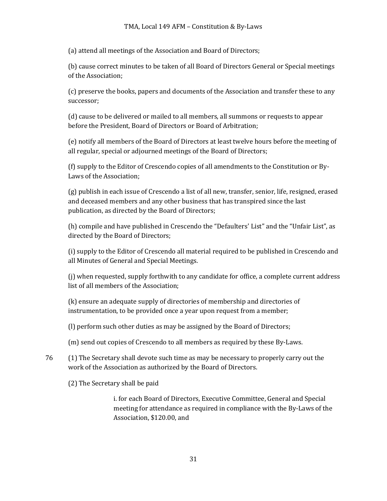(a) attend all meetings of the Association and Board of Directors;

(b) cause correct minutes to be taken of all Board of Directors General or Special meetings of the Association:

(c) preserve the books, papers and documents of the Association and transfer these to any successor;

(d) cause to be delivered or mailed to all members, all summons or requests to appear before the President, Board of Directors or Board of Arbitration;

(e) notify all members of the Board of Directors at least twelve hours before the meeting of all regular, special or adjourned meetings of the Board of Directors;

(f) supply to the Editor of Crescendo copies of all amendments to the Constitution or By-Laws of the Association:

 $(g)$  publish in each issue of Crescendo a list of all new, transfer, senior, life, resigned, erased and deceased members and any other business that has transpired since the last publication, as directed by the Board of Directors;

(h) compile and have published in Crescendo the "Defaulters' List" and the "Unfair List", as directed by the Board of Directors;

(i) supply to the Editor of Crescendo all material required to be published in Crescendo and all Minutes of General and Special Meetings.

 $(i)$  when requested, supply forthwith to any candidate for office, a complete current address list of all members of the Association;

(k) ensure an adequate supply of directories of membership and directories of instrumentation, to be provided once a year upon request from a member;

- (I) perform such other duties as may be assigned by the Board of Directors;
- (m) send out copies of Crescendo to all members as required by these By-Laws.
- 76 (1) The Secretary shall devote such time as may be necessary to properly carry out the work of the Association as authorized by the Board of Directors.
	- (2) The Secretary shall be paid

i. for each Board of Directors, Executive Committee, General and Special meeting for attendance as required in compliance with the By-Laws of the Association, \$120.00, and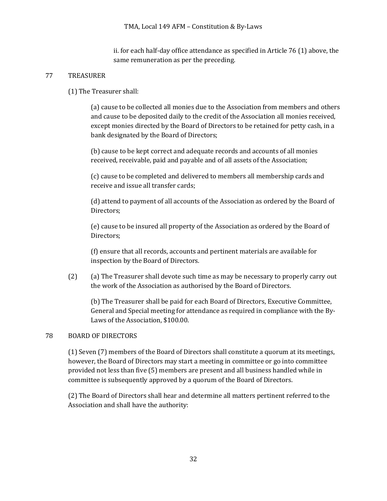ii. for each half-day office attendance as specified in Article  $76(1)$  above, the same remuneration as per the preceding.

### 77 TREASURER

(1) The Treasurer shall:

(a) cause to be collected all monies due to the Association from members and others and cause to be deposited daily to the credit of the Association all monies received, except monies directed by the Board of Directors to be retained for petty cash, in a bank designated by the Board of Directors;

(b) cause to be kept correct and adequate records and accounts of all monies received, receivable, paid and payable and of all assets of the Association;

(c) cause to be completed and delivered to members all membership cards and receive and issue all transfer cards;

(d) attend to payment of all accounts of the Association as ordered by the Board of Directors;

(e) cause to be insured all property of the Association as ordered by the Board of Directors;

(f) ensure that all records, accounts and pertinent materials are available for inspection by the Board of Directors.

(2) (a) The Treasurer shall devote such time as may be necessary to properly carry out the work of the Association as authorised by the Board of Directors.

(b) The Treasurer shall be paid for each Board of Directors, Executive Committee, General and Special meeting for attendance as required in compliance with the By-Laws of the Association, \$100.00.

### 78 BOARD OF DIRECTORS

(1) Seven (7) members of the Board of Directors shall constitute a quorum at its meetings, however, the Board of Directors may start a meeting in committee or go into committee provided not less than five (5) members are present and all business handled while in committee is subsequently approved by a quorum of the Board of Directors.

(2) The Board of Directors shall hear and determine all matters pertinent referred to the Association and shall have the authority: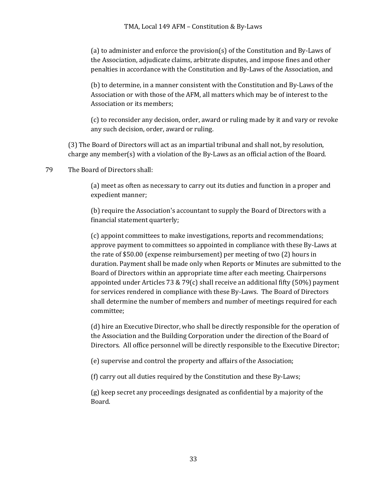(a) to administer and enforce the provision(s) of the Constitution and By-Laws of the Association, adjudicate claims, arbitrate disputes, and impose fines and other penalties in accordance with the Constitution and By-Laws of the Association, and

(b) to determine, in a manner consistent with the Constitution and By-Laws of the Association or with those of the AFM, all matters which may be of interest to the Association or its members;

(c) to reconsider any decision, order, award or ruling made by it and vary or revoke any such decision, order, award or ruling.

(3) The Board of Directors will act as an impartial tribunal and shall not, by resolution, charge any member(s) with a violation of the By-Laws as an official action of the Board.

79 The Board of Directors shall:

(a) meet as often as necessary to carry out its duties and function in a proper and expedient manner;

(b) require the Association's accountant to supply the Board of Directors with a financial statement quarterly;

(c) appoint committees to make investigations, reports and recommendations; approve payment to committees so appointed in compliance with these By-Laws at the rate of  $$50.00$  (expense reimbursement) per meeting of two  $(2)$  hours in duration. Payment shall be made only when Reports or Minutes are submitted to the Board of Directors within an appropriate time after each meeting. Chairpersons appointed under Articles 73 & 79(c) shall receive an additional fifty (50%) payment for services rendered in compliance with these By-Laws. The Board of Directors shall determine the number of members and number of meetings required for each committee;

(d) hire an Executive Director, who shall be directly responsible for the operation of the Association and the Building Corporation under the direction of the Board of Directors. All office personnel will be directly responsible to the Executive Director;

(e) supervise and control the property and affairs of the Association;

(f) carry out all duties required by the Constitution and these By-Laws;

(g) keep secret any proceedings designated as confidential by a majority of the Board.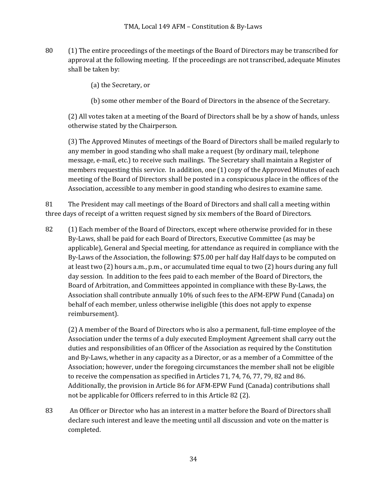80 (1) The entire proceedings of the meetings of the Board of Directors may be transcribed for approval at the following meeting. If the proceedings are not transcribed, adequate Minutes shall be taken by:

(a) the Secretary, or

(b) some other member of the Board of Directors in the absence of the Secretary.

(2) All votes taken at a meeting of the Board of Directors shall be by a show of hands, unless otherwise stated by the Chairperson.

(3) The Approved Minutes of meetings of the Board of Directors shall be mailed regularly to any member in good standing who shall make a request (by ordinary mail, telephone message, e-mail, etc.) to receive such mailings. The Secretary shall maintain a Register of members requesting this service. In addition, one  $(1)$  copy of the Approved Minutes of each meeting of the Board of Directors shall be posted in a conspicuous place in the offices of the Association, accessible to any member in good standing who desires to examine same.

81 The President may call meetings of the Board of Directors and shall call a meeting within three days of receipt of a written request signed by six members of the Board of Directors.

82 (1) Each member of the Board of Directors, except where otherwise provided for in these By-Laws, shall be paid for each Board of Directors, Executive Committee (as may be applicable), General and Special meeting, for attendance as required in compliance with the By-Laws of the Association, the following: \$75.00 per half day Half days to be computed on at least two  $(2)$  hours a.m., p.m., or accumulated time equal to two  $(2)$  hours during any full day session. In addition to the fees paid to each member of the Board of Directors, the Board of Arbitration, and Committees appointed in compliance with these By-Laws, the Association shall contribute annually 10% of such fees to the AFM-EPW Fund (Canada) on behalf of each member, unless otherwise ineligible (this does not apply to expense reimbursement).

(2) A member of the Board of Directors who is also a permanent, full-time employee of the Association under the terms of a duly executed Employment Agreement shall carry out the duties and responsibilities of an Officer of the Association as required by the Constitution and By-Laws, whether in any capacity as a Director, or as a member of a Committee of the Association; however, under the foregoing circumstances the member shall not be eligible to receive the compensation as specified in Articles  $71, 74, 76, 77, 79, 82$  and 86. Additionally, the provision in Article 86 for AFM-EPW Fund (Canada) contributions shall not be applicable for Officers referred to in this Article 82 (2).

83 An Officer or Director who has an interest in a matter before the Board of Directors shall declare such interest and leave the meeting until all discussion and vote on the matter is completed.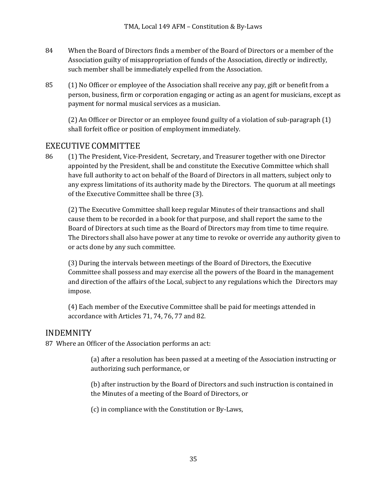- 84 When the Board of Directors finds a member of the Board of Directors or a member of the Association guilty of misappropriation of funds of the Association, directly or indirectly, such member shall be immediately expelled from the Association.
- 85 (1) No Officer or employee of the Association shall receive any pay, gift or benefit from a person, business, firm or corporation engaging or acting as an agent for musicians, except as payment for normal musical services as a musician.

(2) An Officer or Director or an employee found guilty of a violation of sub-paragraph (1) shall forfeit office or position of employment immediately.

# EXECUTIVE COMMITTEE

86 (1) The President, Vice-President, Secretary, and Treasurer together with one Director appointed by the President, shall be and constitute the Executive Committee which shall have full authority to act on behalf of the Board of Directors in all matters, subject only to any express limitations of its authority made by the Directors. The quorum at all meetings of the Executive Committee shall be three (3).

(2) The Executive Committee shall keep regular Minutes of their transactions and shall cause them to be recorded in a book for that purpose, and shall report the same to the Board of Directors at such time as the Board of Directors may from time to time require. The Directors shall also have power at any time to revoke or override any authority given to or acts done by any such committee.

(3) During the intervals between meetings of the Board of Directors, the Executive Committee shall possess and may exercise all the powers of the Board in the management and direction of the affairs of the Local, subject to any regulations which the Directors may impose.

(4) Each member of the Executive Committee shall be paid for meetings attended in accordance with Articles 71, 74, 76, 77 and 82.

## INDEMNITY

87 Where an Officer of the Association performs an act:

(a) after a resolution has been passed at a meeting of the Association instructing or authorizing such performance, or

(b) after instruction by the Board of Directors and such instruction is contained in the Minutes of a meeting of the Board of Directors, or

(c) in compliance with the Constitution or By-Laws,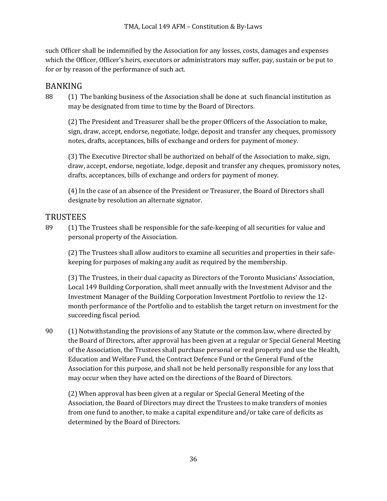such Officer shall be indemnified by the Association for any losses, costs, damages and expenses which the Officer, Officer's heirs, executors or administrators may suffer, pay, sustain or be put to for or by reason of the performance of such act.

# BANKING

88 (1) The banking business of the Association shall be done at such financial institution as may be designated from time to time by the Board of Directors.

(2) The President and Treasurer shall be the proper Officers of the Association to make, sign, draw, accept, endorse, negotiate, lodge, deposit and transfer any cheques, promissory notes, drafts, acceptances, bills of exchange and orders for payment of money.

(3) The Executive Director shall be authorized on behalf of the Association to make, sign, draw, accept, endorse, negotiate, lodge, deposit and transfer any cheques, promissory notes, drafts, acceptances, bills of exchange and orders for payment of money.

(4) In the case of an absence of the President or Treasurer, the Board of Directors shall designate by resolution an alternate signator.

### **TRUSTEES**

89 (1) The Trustees shall be responsible for the safe-keeping of all securities for value and personal property of the Association.

(2) The Trustees shall allow auditors to examine all securities and properties in their safekeeping for purposes of making any audit as required by the membership.

(3) The Trustees, in their dual capacity as Directors of the Toronto Musicians' Association, Local 149 Building Corporation, shall meet annually with the Investment Advisor and the Investment Manager of the Building Corporation Investment Portfolio to review the 12month performance of the Portfolio and to establish the target return on investment for the succeeding fiscal period.

90 (1) Notwithstanding the provisions of any Statute or the common law, where directed by the Board of Directors, after approval has been given at a regular or Special General Meeting of the Association, the Trustees shall purchase personal or real property and use the Health, Education and Welfare Fund, the Contract Defence Fund or the General Fund of the Association for this purpose, and shall not be held personally responsible for any loss that may occur when they have acted on the directions of the Board of Directors.

(2) When approval has been given at a regular or Special General Meeting of the Association, the Board of Directors may direct the Trustees to make transfers of monies from one fund to another, to make a capital expenditure and/or take care of deficits as determined by the Board of Directors.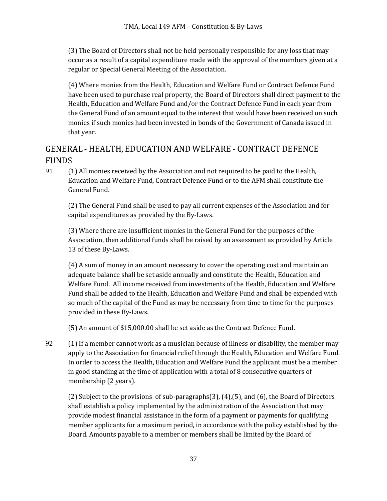(3) The Board of Directors shall not be held personally responsible for any loss that may occur as a result of a capital expenditure made with the approval of the members given at a regular or Special General Meeting of the Association.

(4) Where monies from the Health, Education and Welfare Fund or Contract Defence Fund have been used to purchase real property, the Board of Directors shall direct payment to the Health, Education and Welfare Fund and/or the Contract Defence Fund in each year from the General Fund of an amount equal to the interest that would have been received on such monies if such monies had been invested in bonds of the Government of Canada issued in that year.

# GENERAL - HEALTH, EDUCATION AND WELFARE - CONTRACT DEFENCE FUNDS

91 (1) All monies received by the Association and not required to be paid to the Health, Education and Welfare Fund, Contract Defence Fund or to the AFM shall constitute the General Fund.

(2) The General Fund shall be used to pay all current expenses of the Association and for capital expenditures as provided by the By-Laws.

(3) Where there are insufficient monies in the General Fund for the purposes of the Association, then additional funds shall be raised by an assessment as provided by Article 13 of these By-Laws.

(4) A sum of money in an amount necessary to cover the operating cost and maintain an adequate balance shall be set aside annually and constitute the Health, Education and Welfare Fund. All income received from investments of the Health, Education and Welfare Fund shall be added to the Health, Education and Welfare Fund and shall be expended with so much of the capital of the Fund as may be necessary from time to time for the purposes provided in these By-Laws.

(5) An amount of \$15,000.00 shall be set aside as the Contract Defence Fund.

92 (1) If a member cannot work as a musician because of illness or disability, the member may apply to the Association for financial relief through the Health, Education and Welfare Fund. In order to access the Health, Education and Welfare Fund the applicant must be a member in good standing at the time of application with a total of 8 consecutive quarters of membership (2 years).

(2) Subject to the provisions of sub-paragraphs(3), (4),(5), and (6), the Board of Directors shall establish a policy implemented by the administration of the Association that may provide modest financial assistance in the form of a payment or payments for qualifying member applicants for a maximum period, in accordance with the policy established by the Board. Amounts payable to a member or members shall be limited by the Board of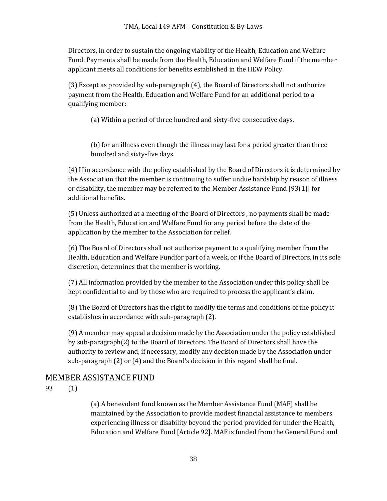Directors, in order to sustain the ongoing viability of the Health, Education and Welfare Fund. Payments shall be made from the Health, Education and Welfare Fund if the member applicant meets all conditions for benefits established in the HEW Policy.

 $(3)$  Except as provided by sub-paragraph  $(4)$ , the Board of Directors shall not authorize payment from the Health, Education and Welfare Fund for an additional period to a qualifying member:

(a) Within a period of three hundred and sixty-five consecutive days.

(b) for an illness even though the illness may last for a period greater than three hundred and sixty-five days.

(4) If in accordance with the policy established by the Board of Directors it is determined by the Association that the member is continuing to suffer undue hardship by reason of illness or disability, the member may be referred to the Member Assistance Fund  $[93(1)]$  for additional benefits.

(5) Unless authorized at a meeting of the Board of Directors, no payments shall be made from the Health, Education and Welfare Fund for any period before the date of the application by the member to the Association for relief.

(6) The Board of Directors shall not authorize payment to a qualifying member from the Health, Education and Welfare Fundfor part of a week, or if the Board of Directors, in its sole discretion, determines that the member is working.

(7) All information provided by the member to the Association under this policy shall be kept confidential to and by those who are required to process the applicant's claim.

(8) The Board of Directors has the right to modify the terms and conditions of the policy it establishes in accordance with sub-paragraph (2).

(9) A member may appeal a decision made by the Association under the policy established by sub-paragraph(2) to the Board of Directors. The Board of Directors shall have the authority to review and, if necessary, modify any decision made by the Association under sub-paragraph  $(2)$  or  $(4)$  and the Board's decision in this regard shall be final.

## MEMBER ASSISTANCE FUND

93 (1) 

(a) A benevolent fund known as the Member Assistance Fund (MAF) shall be maintained by the Association to provide modest financial assistance to members experiencing illness or disability beyond the period provided for under the Health, Education and Welfare Fund [Article 92]. MAF is funded from the General Fund and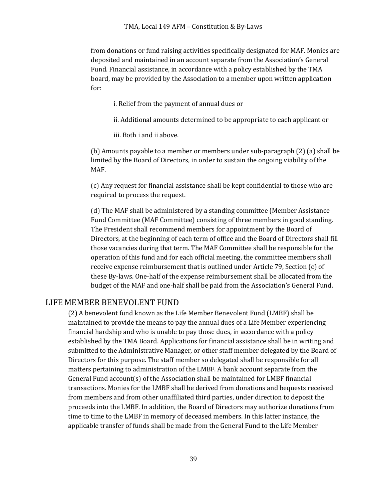from donations or fund raising activities specifically designated for MAF. Monies are deposited and maintained in an account separate from the Association's General Fund. Financial assistance, in accordance with a policy established by the TMA board, may be provided by the Association to a member upon written application for:

i. Relief from the payment of annual dues or

- ii. Additional amounts determined to be appropriate to each applicant or
- iii. Both i and ii above.

(b) Amounts payable to a member or members under sub-paragraph (2) (a) shall be limited by the Board of Directors, in order to sustain the ongoing viability of the MAF.

(c) Any request for financial assistance shall be kept confidential to those who are required to process the request.

(d) The MAF shall be administered by a standing committee (Member Assistance Fund Committee (MAF Committee) consisting of three members in good standing. The President shall recommend members for appointment by the Board of Directors, at the beginning of each term of office and the Board of Directors shall fill those vacancies during that term. The MAF Committee shall be responsible for the operation of this fund and for each official meeting, the committee members shall receive expense reimbursement that is outlined under Article 79, Section (c) of these By-laws. One-half of the expense reimbursement shall be allocated from the budget of the MAF and one-half shall be paid from the Association's General Fund.

### LIFE MEMBER BENEVOLENT FUND

(2) A benevolent fund known as the Life Member Benevolent Fund (LMBF) shall be maintained to provide the means to pay the annual dues of a Life Member experiencing financial hardship and who is unable to pay those dues, in accordance with a policy established by the TMA Board. Applications for financial assistance shall be in writing and submitted to the Administrative Manager, or other staff member delegated by the Board of Directors for this purpose. The staff member so delegated shall be responsible for all matters pertaining to administration of the LMBF. A bank account separate from the General Fund account(s) of the Association shall be maintained for LMBF financial transactions. Monies for the LMBF shall be derived from donations and bequests received from members and from other unaffiliated third parties, under direction to deposit the proceeds into the LMBF. In addition, the Board of Directors may authorize donations from time to time to the LMBF in memory of deceased members. In this latter instance, the applicable transfer of funds shall be made from the General Fund to the Life Member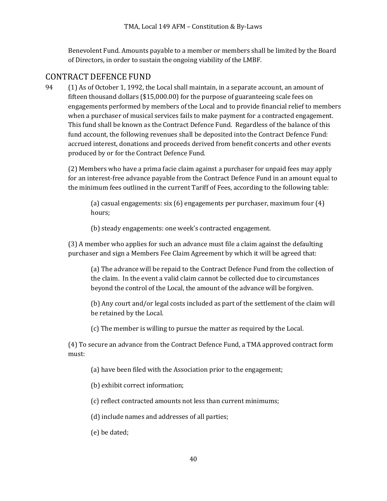Benevolent Fund. Amounts payable to a member or members shall be limited by the Board of Directors, in order to sustain the ongoing viability of the LMBF.

# CONTRACT DEFENCE FUND

94 (1) As of October 1, 1992, the Local shall maintain, in a separate account, an amount of fifteen thousand dollars  $(\$15,000.00)$  for the purpose of guaranteeing scale fees on engagements performed by members of the Local and to provide financial relief to members when a purchaser of musical services fails to make payment for a contracted engagement. This fund shall be known as the Contract Defence Fund. Regardless of the balance of this fund account, the following revenues shall be deposited into the Contract Defence Fund: accrued interest, donations and proceeds derived from benefit concerts and other events produced by or for the Contract Defence Fund.

(2) Members who have a prima facie claim against a purchaser for unpaid fees may apply for an interest-free advance payable from the Contract Defence Fund in an amount equal to the minimum fees outlined in the current Tariff of Fees, according to the following table:

(a) casual engagements:  $\sin(6)$  engagements per purchaser, maximum four  $(4)$ hours;

(b) steady engagements: one week's contracted engagement.

(3) A member who applies for such an advance must file a claim against the defaulting purchaser and sign a Members Fee Claim Agreement by which it will be agreed that:

(a) The advance will be repaid to the Contract Defence Fund from the collection of the claim. In the event a valid claim cannot be collected due to circumstances beyond the control of the Local, the amount of the advance will be forgiven.

(b) Any court and/or legal costs included as part of the settlement of the claim will be retained by the Local.

(c) The member is willing to pursue the matter as required by the Local.

(4) To secure an advance from the Contract Defence Fund, a TMA approved contract form must:

(a) have been filed with the Association prior to the engagement;

(b) exhibit correct information;

(c) reflect contracted amounts not less than current minimums;

(d) include names and addresses of all parties;

(e) be dated;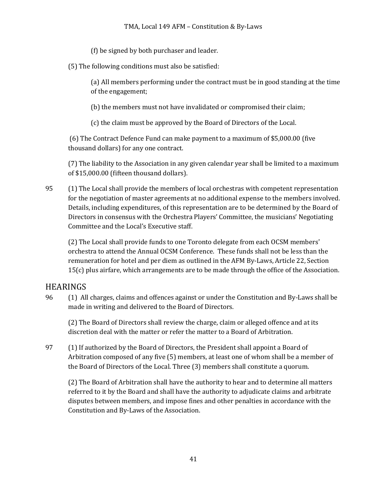(f) be signed by both purchaser and leader.

(5) The following conditions must also be satisfied:

(a) All members performing under the contract must be in good standing at the time of the engagement;

(b) the members must not have invalidated or compromised their claim;

(c) the claim must be approved by the Board of Directors of the Local.

(6) The Contract Defence Fund can make payment to a maximum of \$5,000.00 (five thousand dollars) for any one contract.

(7) The liability to the Association in any given calendar year shall be limited to a maximum of \$15,000.00 (fifteen thousand dollars).

95 (1) The Local shall provide the members of local orchestras with competent representation for the negotiation of master agreements at no additional expense to the members involved. Details, including expenditures, of this representation are to be determined by the Board of Directors in consensus with the Orchestra Players' Committee, the musicians' Negotiating Committee and the Local's Executive staff.

(2) The Local shall provide funds to one Toronto delegate from each OCSM members' orchestra to attend the Annual OCSM Conference. These funds shall not be less than the remuneration for hotel and per diem as outlined in the AFM By-Laws, Article 22, Section  $15(c)$  plus airfare, which arrangements are to be made through the office of the Association.

# HEARINGS

96 (1) All charges, claims and offences against or under the Constitution and By-Laws shall be made in writing and delivered to the Board of Directors.

(2) The Board of Directors shall review the charge, claim or alleged offence and at its discretion deal with the matter or refer the matter to a Board of Arbitration.

97 (1) If authorized by the Board of Directors, the President shall appoint a Board of Arbitration composed of any five (5) members, at least one of whom shall be a member of the Board of Directors of the Local. Three (3) members shall constitute a quorum.

(2) The Board of Arbitration shall have the authority to hear and to determine all matters referred to it by the Board and shall have the authority to adjudicate claims and arbitrate disputes between members, and impose fines and other penalties in accordance with the Constitution and By-Laws of the Association.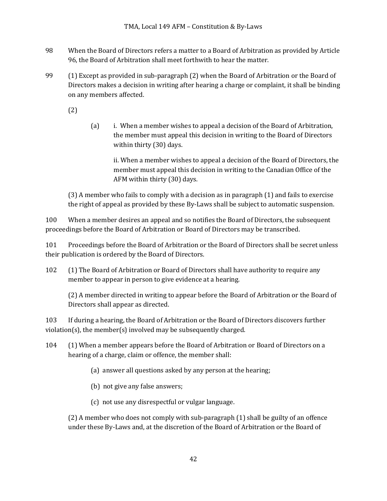- 98 When the Board of Directors refers a matter to a Board of Arbitration as provided by Article 96, the Board of Arbitration shall meet forthwith to hear the matter.
- 99  $\qquad$  (1) Except as provided in sub-paragraph (2) when the Board of Arbitration or the Board of Directors makes a decision in writing after hearing a charge or complaint, it shall be binding on any members affected.

(2) 

(a) i. When a member wishes to appeal a decision of the Board of Arbitration, the member must appeal this decision in writing to the Board of Directors within thirty (30) days.

ii. When a member wishes to appeal a decision of the Board of Directors, the member must appeal this decision in writing to the Canadian Office of the AFM within thirty (30) days.

 $(3)$  A member who fails to comply with a decision as in paragraph  $(1)$  and fails to exercise the right of appeal as provided by these By-Laws shall be subject to automatic suspension.

100 When a member desires an appeal and so notifies the Board of Directors, the subsequent proceedings before the Board of Arbitration or Board of Directors may be transcribed.

101 Proceedings before the Board of Arbitration or the Board of Directors shall be secret unless their publication is ordered by the Board of Directors.

102 (1) The Board of Arbitration or Board of Directors shall have authority to require any member to appear in person to give evidence at a hearing.

(2) A member directed in writing to appear before the Board of Arbitration or the Board of Directors shall appear as directed.

103 If during a hearing, the Board of Arbitration or the Board of Directors discovers further  $violation(s)$ , the member(s) involved may be subsequently charged.

- 104 (1) When a member appears before the Board of Arbitration or Board of Directors on a hearing of a charge, claim or offence, the member shall:
	- (a) answer all questions asked by any person at the hearing;
	- (b) not give any false answers;
	- (c) not use any disrespectful or vulgar language.

 $(2)$  A member who does not comply with sub-paragraph  $(1)$  shall be guilty of an offence under these By-Laws and, at the discretion of the Board of Arbitration or the Board of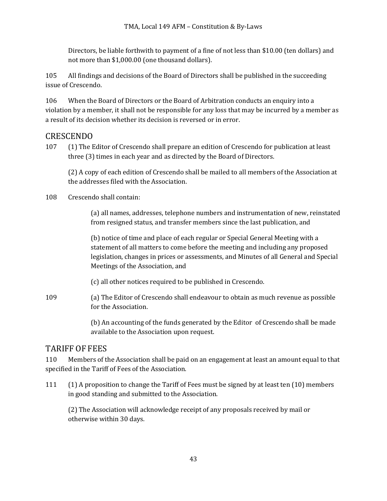Directors, be liable forthwith to payment of a fine of not less than \$10.00 (ten dollars) and not more than \$1,000.00 (one thousand dollars).

105 All findings and decisions of the Board of Directors shall be published in the succeeding issue of Crescendo.

106 When the Board of Directors or the Board of Arbitration conducts an enquiry into a violation by a member, it shall not be responsible for any loss that may be incurred by a member as a result of its decision whether its decision is reversed or in error.

# CRESCENDO

107 (1) The Editor of Crescendo shall prepare an edition of Crescendo for publication at least three (3) times in each year and as directed by the Board of Directors.

(2) A copy of each edition of Crescendo shall be mailed to all members of the Association at the addresses filed with the Association.

108 Crescendo shall contain:

(a) all names, addresses, telephone numbers and instrumentation of new, reinstated from resigned status, and transfer members since the last publication, and

(b) notice of time and place of each regular or Special General Meeting with a statement of all matters to come before the meeting and including any proposed legislation, changes in prices or assessments, and Minutes of all General and Special Meetings of the Association, and

(c) all other notices required to be published in Crescendo.

109 (a) The Editor of Crescendo shall endeavour to obtain as much revenue as possible for the Association.

> (b) An accounting of the funds generated by the Editor of Crescendo shall be made available to the Association upon request.

# TARIFF OF FEES

110 Members of the Association shall be paid on an engagement at least an amount equal to that specified in the Tariff of Fees of the Association.

111 (1) A proposition to change the Tariff of Fees must be signed by at least ten (10) members in good standing and submitted to the Association.

(2) The Association will acknowledge receipt of any proposals received by mail or otherwise within 30 days.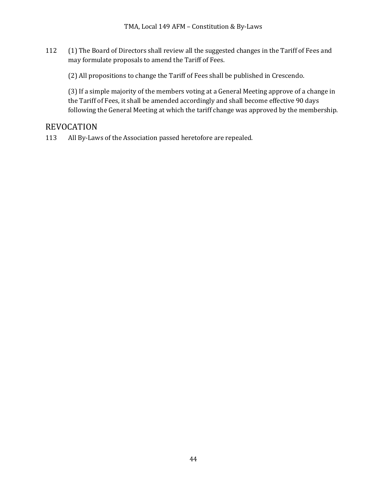- 112 (1) The Board of Directors shall review all the suggested changes in the Tariff of Fees and may formulate proposals to amend the Tariff of Fees.
	- (2) All propositions to change the Tariff of Fees shall be published in Crescendo.

(3) If a simple majority of the members voting at a General Meeting approve of a change in the Tariff of Fees, it shall be amended accordingly and shall become effective 90 days following the General Meeting at which the tariff change was approved by the membership.

# REVOCATION

113 All By-Laws of the Association passed heretofore are repealed.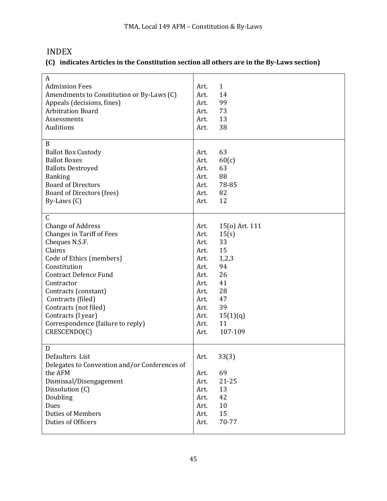# INDEX

### **(C) indicates Articles in the Constitution section all others are in the By-Laws section)**

| A                                                |      |                |
|--------------------------------------------------|------|----------------|
| <b>Admission Fees</b>                            | Art. | $\mathbf{1}$   |
| Amendments to Constitution or By-Laws (C)        | Art. | 14             |
| Appeals (decisions, fines)                       | Art. | 99             |
| <b>Arbitration Board</b>                         | Art. | 73             |
| Assessments                                      | Art. | 13             |
| Auditions                                        | Art. | 38             |
|                                                  |      |                |
| B                                                |      |                |
|                                                  | Art. | 63             |
| <b>Ballot Box Custody</b><br><b>Ballot Boxes</b> |      |                |
|                                                  | Art. | 60(c)          |
| <b>Ballots Destroyed</b>                         | Art. | 63             |
| <b>Banking</b>                                   | Art. | 88             |
| <b>Board of Directors</b>                        | Art. | 78-85          |
| Board of Directors (fees)                        | Art. | 82             |
| By-Laws $(C)$                                    | Art. | 12             |
|                                                  |      |                |
| $\mathsf C$                                      |      |                |
| <b>Change of Address</b>                         | Art. | 15(o) Art. 111 |
| <b>Changes in Tariff of Fees</b>                 | Art. | 15(s)          |
| Cheques N.S.F.                                   | Art. | 33             |
| Claims                                           | Art. | 15             |
| Code of Ethics (members)                         | Art. | 1,2,3          |
| Constitution                                     | Art. | 94             |
| <b>Contract Defence Fund</b>                     | Art. | 26             |
| Contractor                                       | Art. | 41             |
| Contracts (constant)                             | Art. | 28             |
| Contracts (filed)                                | Art. | 47             |
| Contracts (not filed)                            | Art. | 39             |
|                                                  |      |                |
| Contracts (I year)                               | Art. | 15(1)(q)       |
| Correspondence (failure to reply)                | Art. | 11             |
| CRESCENDO(C)                                     | Art. | 107-109        |
|                                                  |      |                |
| D                                                |      |                |
| Defaulters List                                  | Art. | 33(3)          |
| Delegates to Convention and/or Conferences of    |      |                |
| the AFM                                          | Art. | 69             |
| Dismissal/Disengagement                          | Art. | $21 - 25$      |
| Dissolution (C)                                  | Art. | 13             |
| Doubling                                         | Art. | 42             |
| Dues                                             | Art. | 10             |
| <b>Duties of Members</b>                         | Art. | 15             |
| Duties of Officers                               | Art. | 70-77          |
|                                                  |      |                |
|                                                  |      |                |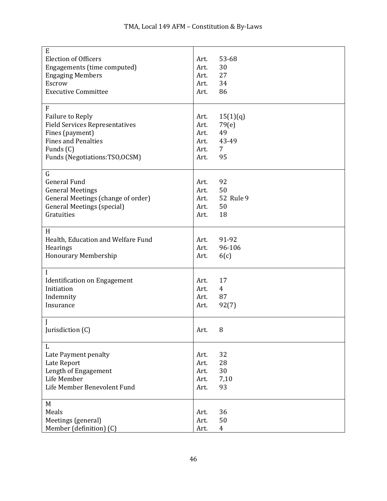| E                                     |      |                |
|---------------------------------------|------|----------------|
|                                       |      | 53-68          |
| <b>Election of Officers</b>           | Art. |                |
| Engagements (time computed)           | Art. | 30             |
| <b>Engaging Members</b>               | Art. | 27             |
| Escrow                                | Art. | 34             |
| <b>Executive Committee</b>            | Art. | 86             |
|                                       |      |                |
| F                                     |      |                |
| <b>Failure to Reply</b>               | Art. | 15(1)(q)       |
| <b>Field Services Representatives</b> | Art. | 79(e)          |
| Fines (payment)                       | Art. | 49             |
| <b>Fines and Penalties</b>            | Art. | 43-49          |
|                                       |      |                |
| Funds (C)                             | Art. | 7              |
| Funds (Negotiations:TSO,OCSM)         | Art. | 95             |
|                                       |      |                |
| $\mathsf G$                           |      |                |
| <b>General Fund</b>                   | Art. | 92             |
| <b>General Meetings</b>               | Art. | 50             |
| General Meetings (change of order)    | Art. | 52 Rule 9      |
| <b>General Meetings (special)</b>     | Art. | 50             |
| Gratuities                            | Art. | 18             |
|                                       |      |                |
| H                                     |      |                |
|                                       |      |                |
| Health, Education and Welfare Fund    | Art. | 91-92          |
| Hearings                              | Art. | 96-106         |
| <b>Honourary Membership</b>           | Art. | 6(c)           |
|                                       |      |                |
| I                                     |      |                |
| <b>Identification on Engagement</b>   | Art. | 17             |
| Initiation                            | Art. | $\overline{4}$ |
| Indemnity                             | Art. | 87             |
| Insurance                             | Art. | 92(7)          |
|                                       |      |                |
|                                       |      |                |
| Jurisdiction (C)                      | Art. | 8              |
|                                       |      |                |
| L                                     |      |                |
| Late Payment penalty                  | Art. | 32             |
| Late Report                           | Art. | 28             |
|                                       |      |                |
| Length of Engagement                  | Art. | 30             |
| Life Member                           | Art. | 7,10           |
| Life Member Benevolent Fund           | Art. | 93             |
|                                       |      |                |
| M                                     |      |                |
| Meals                                 | Art. | 36             |
| Meetings (general)                    | Art. | 50             |
| Member (definition) (C)               | Art. | $\overline{4}$ |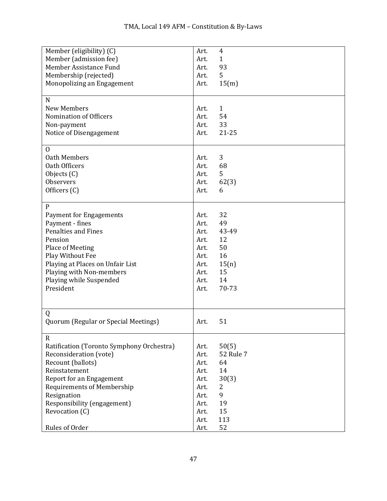| Member (eligibility) (C)                  | Art. | $\overline{4}$ |
|-------------------------------------------|------|----------------|
| Member (admission fee)                    | Art. | $\mathbf{1}$   |
| Member Assistance Fund                    | Art. | 93             |
| Membership (rejected)                     | Art. | 5              |
| Monopolizing an Engagement                | Art. | 15(m)          |
|                                           |      |                |
| N                                         |      |                |
| <b>New Members</b>                        | Art. | $\mathbf{1}$   |
| Nomination of Officers                    | Art. | 54             |
| Non-payment                               | Art. | 33             |
| Notice of Disengagement                   | Art. | $21 - 25$      |
| $\mathbf{0}$                              |      |                |
| Oath Members                              | Art. | 3              |
| Oath Officers                             | Art. | 68             |
| Objects (C)                               | Art. | 5              |
| Observers                                 | Art. | 62(3)          |
| Officers (C)                              | Art. | 6              |
|                                           |      |                |
| $\mathbf{P}$                              |      |                |
| <b>Payment for Engagements</b>            | Art. | 32             |
| Payment - fines                           | Art. | 49             |
| <b>Penalties and Fines</b>                | Art. | 43-49          |
| Pension                                   | Art. | 12             |
| Place of Meeting                          | Art. | 50             |
| Play Without Fee                          | Art. | 16             |
| Playing at Places on Unfair List          | Art. | 15(n)          |
| Playing with Non-members                  | Art. | 15             |
| Playing while Suspended                   | Art. | 14             |
| President                                 | Art. | 70-73          |
|                                           |      |                |
|                                           |      |                |
| Q                                         |      |                |
| Quorum (Regular or Special Meetings)      | Art. | 51             |
|                                           |      |                |
| $\mathsf{R}$                              |      |                |
| Ratification (Toronto Symphony Orchestra) | Art. | 50(5)          |
| Reconsideration (vote)                    | Art. | 52 Rule 7      |
| Recount (ballots)                         | Art. | 64             |
| Reinstatement                             | Art. | 14             |
| Report for an Engagement                  | Art. | 30(3)          |
| <b>Requirements of Membership</b>         | Art. | 2              |
| Resignation                               | Art. | 9              |
| Responsibility (engagement)               | Art. | 19             |
| Revocation (C)                            | Art. | 15             |
|                                           | Art. | 113            |
| Rules of Order                            | Art. | 52             |